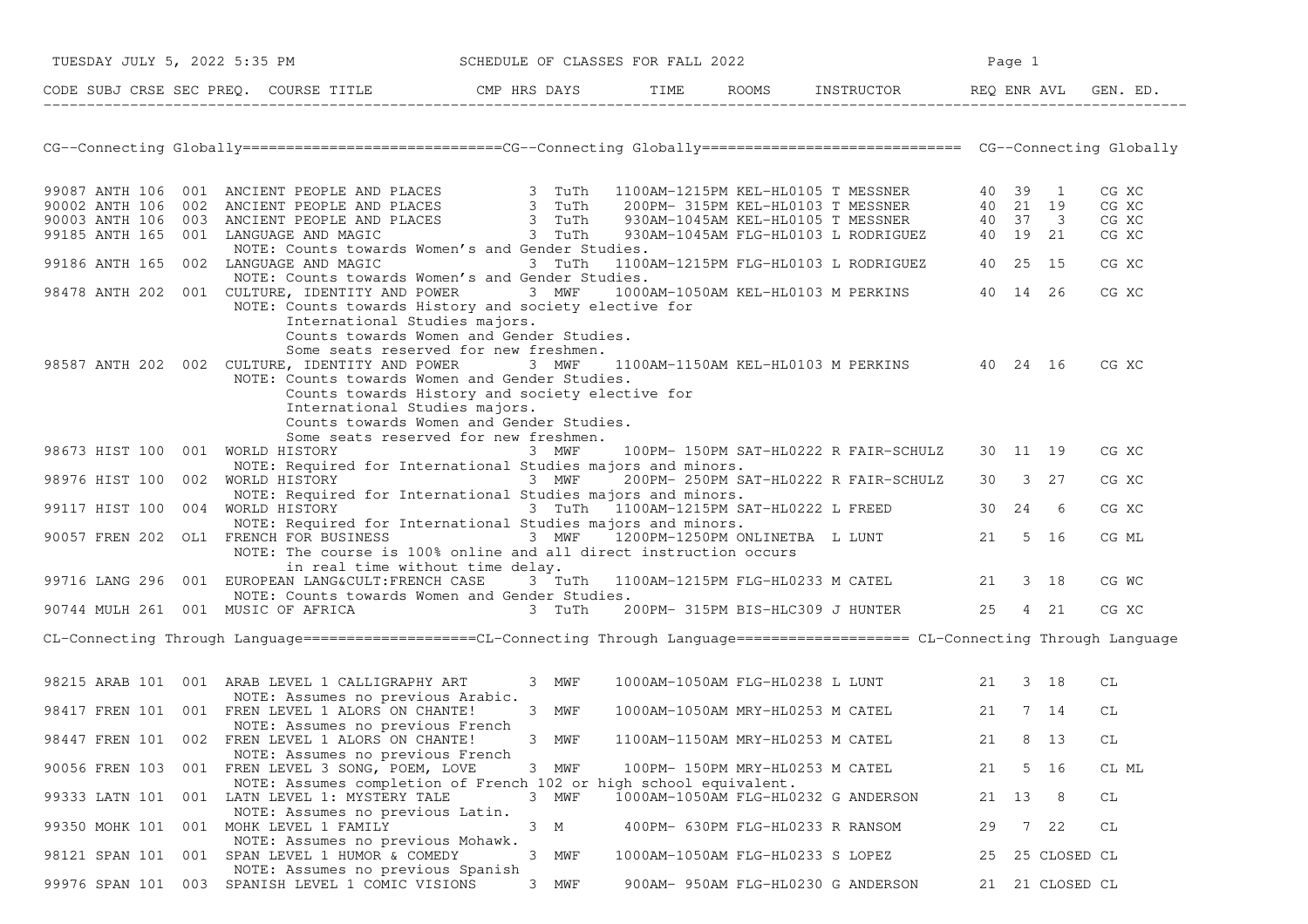| TUESDAY JULY 5, 2022 5:35 PM     |                                                                                                                                                                                                                                                                                                                                                              | SCHEDULE OF CLASSES FOR FALL 2022 |                                  | Page 1 |                                                 |    |       |                 |                                  |
|----------------------------------|--------------------------------------------------------------------------------------------------------------------------------------------------------------------------------------------------------------------------------------------------------------------------------------------------------------------------------------------------------------|-----------------------------------|----------------------------------|--------|-------------------------------------------------|----|-------|-----------------|----------------------------------|
|                                  | CODE SUBJ CRSE SEC PREQ. COURSE TITLE THE ROOMS INSTRUCTOR REQ ENR AVL GEN. ED.                                                                                                                                                                                                                                                                              |                                   |                                  |        |                                                 |    |       |                 |                                  |
|                                  | CG--Connecting Globally===========================CG--Connecting Globally=============================== CG--Connecting Globally                                                                                                                                                                                                                             |                                   |                                  |        |                                                 |    |       |                 |                                  |
|                                  | 99087 ANTH 106 001 ANCIENT PEOPLE AND PLACES<br>90002 ANTH 106 002 ANCIENT PEOPLE AND PLACES<br>90003 ANTH 106 003 ANCIENT PEOPLE AND PLACES<br>90003 ANTH 106 003 ANCIENT PEOPLE AND PLACES<br>930AM-1045AM KEL-HL0105 T MESSNER<br>930                                                                                                                     |                                   |                                  |        |                                                 |    |       |                 | CG XC<br>CG XC<br>CG XC<br>CG XC |
|                                  | NOTE: Counts towards Women's and Gender Studies.<br>99186 ANTH 165 002 LANGUAGE AND MAGIC 3 TuTh                                                                                                                                                                                                                                                             |                                   |                                  |        | 1100AM-1215PM FLG-HL0103 L RODRIGUEZ 40 25 15   |    |       |                 | CG XC                            |
|                                  | NOTE: Counts towards Women's and Gender Studies.<br>98478 ANTH 202 001 CULTURE, IDENTITY AND POWER 3 MWF 1000AM-1050AM KEL-HL0103 M PERKINS 40 14 26<br>NOTE: Counts towards History and society elective for                                                                                                                                                |                                   |                                  |        |                                                 |    |       |                 | CG XC                            |
|                                  | International Studies majors.<br>Counts towards Women and Gender Studies.<br>Some seats reserved for new freshmen.<br>98587 ANTH 202 002 CULTURE, IDENTITY AND POWER 3 MWF<br>NOTE: Counts towards Women and Gender Studies.<br>Counts towards History and society elective for<br>International Studies majors.<br>Counts towards Women and Gender Studies. |                                   |                                  |        | 1100AM-1150AM KEL-HL0103 M PERKINS 40 24 16     |    |       |                 | CG XC                            |
| 98673 HIST 100 001 WORLD HISTORY | Some seats reserved for new freshmen.<br>NOTE: Required for International Studies majors and minors.                                                                                                                                                                                                                                                         | 3 MWF                             |                                  |        | 100PM- 150PM SAT-HL0222 R FAIR-SCHULZ 30 11 19  |    |       |                 | CG XC                            |
|                                  | 98976 HIST 100 002 WORLD HISTORY 67 100 100 100 3 27 200PM-250PM SAT-HLO222 R FAIR-SCHULZ 30 3 27<br>NOTE: Required for International Studies majors and minors.                                                                                                                                                                                             |                                   |                                  |        |                                                 |    |       |                 | CG XC                            |
| 99117 HIST 100 004 WORLD HISTORY |                                                                                                                                                                                                                                                                                                                                                              |                                   |                                  |        | 3 TuTh 1100AM-1215PM SAT-HL0222 L FREED 30 24 6 |    |       |                 | CG XC                            |
|                                  | NOTE: Required for International Studies majors and minors.<br>90057 FREN 202 OL1 FRENCH FOR BUSINESS 3 MWF 1200PM-1250PM ONLINETBA L LUNT 21 5 16<br>NOTE: The course is 100% online and all direct instruction occurs                                                                                                                                      |                                   |                                  |        |                                                 |    |       |                 | CG ML                            |
|                                  | in real time without time delay.<br>99716 LANG 296 001 EUROPEAN LANG&CULT:FRENCH CASE 3 TuTh 1100AM-1215PM FLG-HL0233 M CATEL 21 3 18<br>NOTE: Counts towards Women and Gender Studies.                                                                                                                                                                      |                                   |                                  |        |                                                 |    |       |                 | CG WC                            |
|                                  | 90744 MULH 261 001 MUSIC OF AFRICA 3 TUTh 200PM-315PM BIS-HLC309 J HUNTER 25 4 21                                                                                                                                                                                                                                                                            |                                   |                                  |        |                                                 |    |       |                 | CG XC                            |
|                                  | CL-Connecting Through Language==================CL-Connecting Through Language==================== CL-Connecting Through Language                                                                                                                                                                                                                            |                                   |                                  |        |                                                 |    |       |                 |                                  |
|                                  | 98215 ARAB 101 001 ARAB LEVEL 1 CALLIGRAPHY ART<br>NOTE: Assumes no previous Arabic.                                                                                                                                                                                                                                                                         | 3 MWF                             |                                  |        | 1000AM-1050AM FLG-HL0238 L LUNT 21 3 18         |    |       |                 | СL                               |
|                                  | 98417 FREN 101 001 FREN LEVEL 1 ALORS ON CHANTE!<br>NOTE: Assumes no previous French                                                                                                                                                                                                                                                                         | 3 MWF                             |                                  |        | 1000AM-1050AM MRY-HL0253 M CATEL 21 7 14        |    |       |                 | СL                               |
|                                  | 98447 FREN 101 002 FREN LEVEL 1 ALORS ON CHANTE!<br>NOTE: Assumes no previous French                                                                                                                                                                                                                                                                         | 3 MWF                             | 1100AM-1150AM MRY-HL0253 M CATEL |        |                                                 | 21 |       | 8 13            | CL                               |
| 90056 FREN 103                   | 001 FREN LEVEL 3 SONG, POEM, LOVE<br>NOTE: Assumes completion of French 102 or high school equivalent.                                                                                                                                                                                                                                                       | 3 MWF                             | 100PM- 150PM MRY-HL0253 M CATEL  |        |                                                 | 21 |       | 5 16            | CL ML                            |
|                                  | 99333 LATN 101 001 LATN LEVEL 1: MYSTERY TALE<br>NOTE: Assumes no previous Latin.                                                                                                                                                                                                                                                                            | 3 MWF                             |                                  |        | 1000AM-1050AM FLG-HL0232 G ANDERSON             |    | 21 13 | 8               | СL                               |
|                                  | 99350 MOHK 101 001 MOHK LEVEL 1 FAMILY<br>NOTE: Assumes no previous Mohawk.                                                                                                                                                                                                                                                                                  | 3 M                               |                                  |        | 400PM- 630PM FLG-HL0233 R RANSOM                | 29 |       | 7 22            | CL                               |
|                                  | 98121 SPAN 101 001 SPAN LEVEL 1 HUMOR & COMEDY<br>NOTE: Assumes no previous Spanish                                                                                                                                                                                                                                                                          | 3 MWF                             | 1000AM-1050AM FLG-HL0233 S LOPEZ |        |                                                 | 25 |       | 25 CLOSED CL    |                                  |
|                                  | 99976 SPAN 101 003 SPANISH LEVEL 1 COMIC VISIONS                                                                                                                                                                                                                                                                                                             | 3 MWF                             |                                  |        | 900AM- 950AM FLG-HL0230 G ANDERSON              |    |       | 21 21 CLOSED CL |                                  |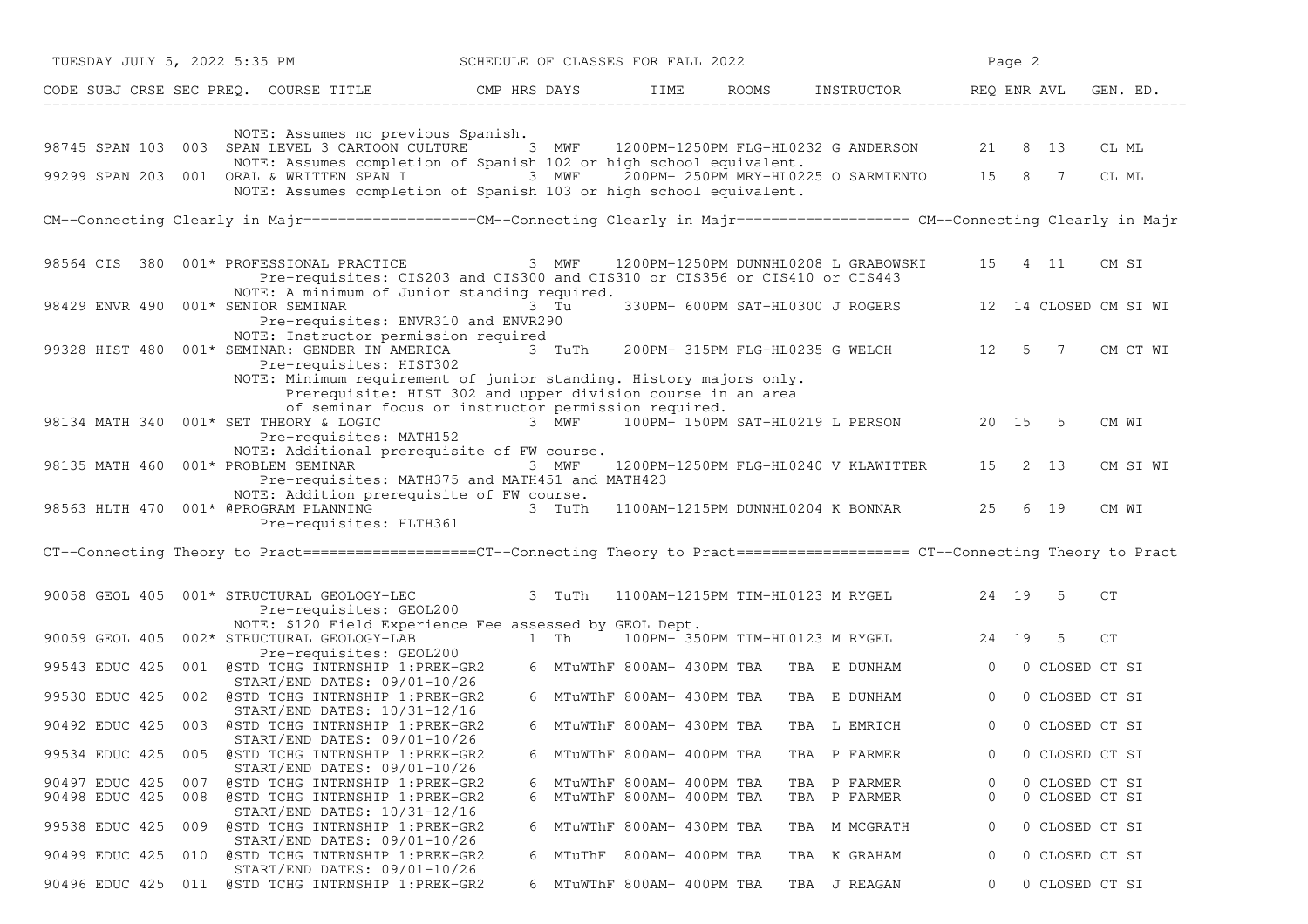| TUESDAY JULY 5, 2022 5:35 PM                                                                                                                                                               | SCHEDULE OF CLASSES FOR FALL 2022 |                                                      |      |                                         |                                                        |                  | Page 2  |                                  |                   |
|--------------------------------------------------------------------------------------------------------------------------------------------------------------------------------------------|-----------------------------------|------------------------------------------------------|------|-----------------------------------------|--------------------------------------------------------|------------------|---------|----------------------------------|-------------------|
| CODE SUBJ CRSE SEC PREQ. COURSE TITLE THE CMP HRS DAYS                                                                                                                                     |                                   |                                                      | TIME | ROOMS INSTRUCTOR                        |                                                        | REQ ENR AVL      |         |                                  | GEN. ED.          |
| NOTE: Assumes no previous Spanish.                                                                                                                                                         |                                   |                                                      |      |                                         |                                                        |                  |         |                                  |                   |
| 98745 SPAN 103 003 SPAN LEVEL 3 CARTOON CULTURE 3 MWF 1200PM-1250PM FLG-HL0232 G ANDERSON                                                                                                  |                                   |                                                      |      |                                         |                                                        |                  | 21 8 13 |                                  | CL ML             |
| NOTE: Assumes completion of Spanish 102 or high school equivalent.<br>99299 SPAN 203 001 ORAL & WRITTEN SPAN I 3 MWF<br>NOTE: Assumes completion of Spanish 103 or high school equivalent. |                                   |                                                      |      |                                         | 200PM-250PM MRY-HL0225 O SARMIENTO 15 8 7              |                  |         |                                  | CL ML             |
| CM--Connecting Clearly in Majr==================CM--Connecting Clearly in Majr==================== CM--Connecting Clearly in Majr                                                          |                                   |                                                      |      |                                         |                                                        |                  |         |                                  |                   |
| 98564 CIS 380 001* PROFESSIONAL PRACTICE 3 MWF<br>Pre-requisites: CIS203 and CIS300 and CIS310 or CIS356 or CIS410 or CIS443<br>NOTE: A minimum of Junior standing required.               |                                   |                                                      |      |                                         | 1200PM-1250PM DUNNHL0208 L GRABOWSKI                   |                  |         |                                  | 15  4  11  CM  SI |
| 98429 ENVR 490 001* SENIOR SEMINAR<br>Pre-requisites: ENVR310 and ENVR290                                                                                                                  |                                   | 3 Tu                                                 |      |                                         | 330PM- 600PM SAT-HL0300 J ROGERS 12 14 CLOSED CM SI WI |                  |         |                                  |                   |
| NOTE: Instructor permission required<br>99328 HIST 480 001* SEMINAR: GENDER IN AMERICA<br>Pre-requisites: HIST302                                                                          |                                   | 3 TuTh                                               |      |                                         | 200PM- 315PM FLG-HL0235 G WELCH 12 5 7                 |                  |         |                                  | CM CT WI          |
| NOTE: Minimum requirement of junior standing. History majors only.<br>Prerequisite: HIST 302 and upper division course in an area                                                          |                                   |                                                      |      |                                         |                                                        |                  |         |                                  |                   |
| of seminar focus or instructor permission required.<br>98134 MATH 340 001* SET THEORY & LOGIC<br>Pre-requisites: MATH152                                                                   |                                   |                                                      |      |                                         | 3 MWF 100PM-150PM SAT-HL0219 L PERSON 20 15 5          |                  |         |                                  | CM WI             |
| NOTE: Additional prerequisite of FW course.<br>98135 MATH 460 001* PROBLEM SEMINAR<br>Pre-requisites: MATH375 and MATH451 and MATH423                                                      |                                   | 3 MWF                                                |      |                                         | 1200PM-1250PM FLG-HL0240 V KLAWITTER                   |                  | 15 2 13 |                                  | CM SI WI          |
| NOTE: Addition prerequisite of FW course.<br>98563 HLTH 470 001* @PROGRAM PLANNING<br>Pre-requisites: HLTH361                                                                              |                                   | 3 TuTh                                               |      |                                         | 1100AM-1215PM DUNNHL0204 K BONNAR 25 6 19              |                  |         |                                  | CM WI             |
| CT--Connecting Theory to Pract==================CT--Connecting Theory to Pract===================== CT--Connecting Theory to Pract                                                         |                                   |                                                      |      |                                         |                                                        |                  |         |                                  |                   |
| 90058 GEOL 405 001* STRUCTURAL GEOLOGY-LEC<br>Pre-requisites: GEOL200                                                                                                                      |                                   | 3 TuTh                                               |      |                                         | 1100AM-1215PM TIM-HL0123 M RYGEL 24 19 5               |                  |         |                                  | CT                |
| NOTE: \$120 Field Experience Fee assessed by GEOL Dept.<br>90059 GEOL 405 002* STRUCTURAL GEOLOGY-LAB                                                                                      |                                   |                                                      |      |                                         | 1 Th 100PM-350PM TIM-HL0123 M RYGEL                    |                  | 24 19   | 5                                | CT                |
| Pre-requisites: GEOL200<br>99543 EDUC 425 001 @STD TCHG INTRNSHIP 1:PREK-GR2                                                                                                               |                                   |                                                      |      | 6 MTuWThF 800AM- 430PM TBA TBA E DUNHAM |                                                        | $\Omega$         |         | 0 CLOSED CT SI                   |                   |
| START/END DATES: 09/01-10/26<br>99530 EDUC 425 002 @STD TCHG INTRNSHIP 1:PREK-GR2                                                                                                          |                                   | 6 MTuWThF 800AM- 430PM TBA                           |      |                                         | TBA E DUNHAM                                           | $\circ$          |         | 0 CLOSED CT SI                   |                   |
| START/END DATES: 10/31-12/16<br>90492 EDUC 425 003 @STD TCHG INTRNSHIP 1:PREK-GR2                                                                                                          |                                   | 6 MTuWThF 800AM- 430PM TBA                           |      |                                         | TBA L EMRICH                                           | $\Omega$         |         | 0 CLOSED CT SI                   |                   |
| START/END DATES: 09/01-10/26                                                                                                                                                               |                                   |                                                      |      |                                         |                                                        |                  |         |                                  |                   |
| 99534 EDUC 425<br>005 @STD TCHG INTRNSHIP 1:PREK-GR2<br>START/END DATES: 09/01-10/26                                                                                                       | 6                                 | MTuWThF 800AM- 400PM TBA                             |      |                                         | TBA P FARMER                                           | 0                |         | 0 CLOSED CT SI                   |                   |
| 90497 EDUC 425<br>007<br>@STD TCHG INTRNSHIP 1:PREK-GR2<br>90498 EDUC 425<br>008 @STD TCHG INTRNSHIP 1:PREK-GR2                                                                            | 6<br>6                            | MTuWThF 800AM- 400PM TBA<br>MTuWThF 800AM- 400PM TBA |      |                                         | TBA P FARMER<br>TBA P FARMER                           | 0<br>$\mathbf 0$ |         | 0 CLOSED CT SI<br>0 CLOSED CT SI |                   |
| START/END DATES: 10/31-12/16<br>99538 EDUC 425<br>@STD TCHG INTRNSHIP 1:PREK-GR2<br>009<br>START/END DATES: 09/01-10/26                                                                    |                                   | 6 MTuWThF 800AM- 430PM TBA                           |      |                                         | TBA M MCGRATH                                          | 0                |         | 0 CLOSED CT SI                   |                   |
| 010 @STD TCHG INTRNSHIP 1:PREK-GR2<br>90499 EDUC 425                                                                                                                                       |                                   | 6 MTuThF 800AM-400PM TBA                             |      |                                         | TBA K GRAHAM                                           | 0                |         | 0 CLOSED CT SI                   |                   |
| START/END DATES: 09/01-10/26<br>90496 EDUC 425 011 @STD TCHG INTRNSHIP 1:PREK-GR2                                                                                                          |                                   | 6 MTuWThF 800AM- 400PM TBA                           |      |                                         | TBA J REAGAN                                           | 0                |         |                                  | 0 CLOSED CT SI    |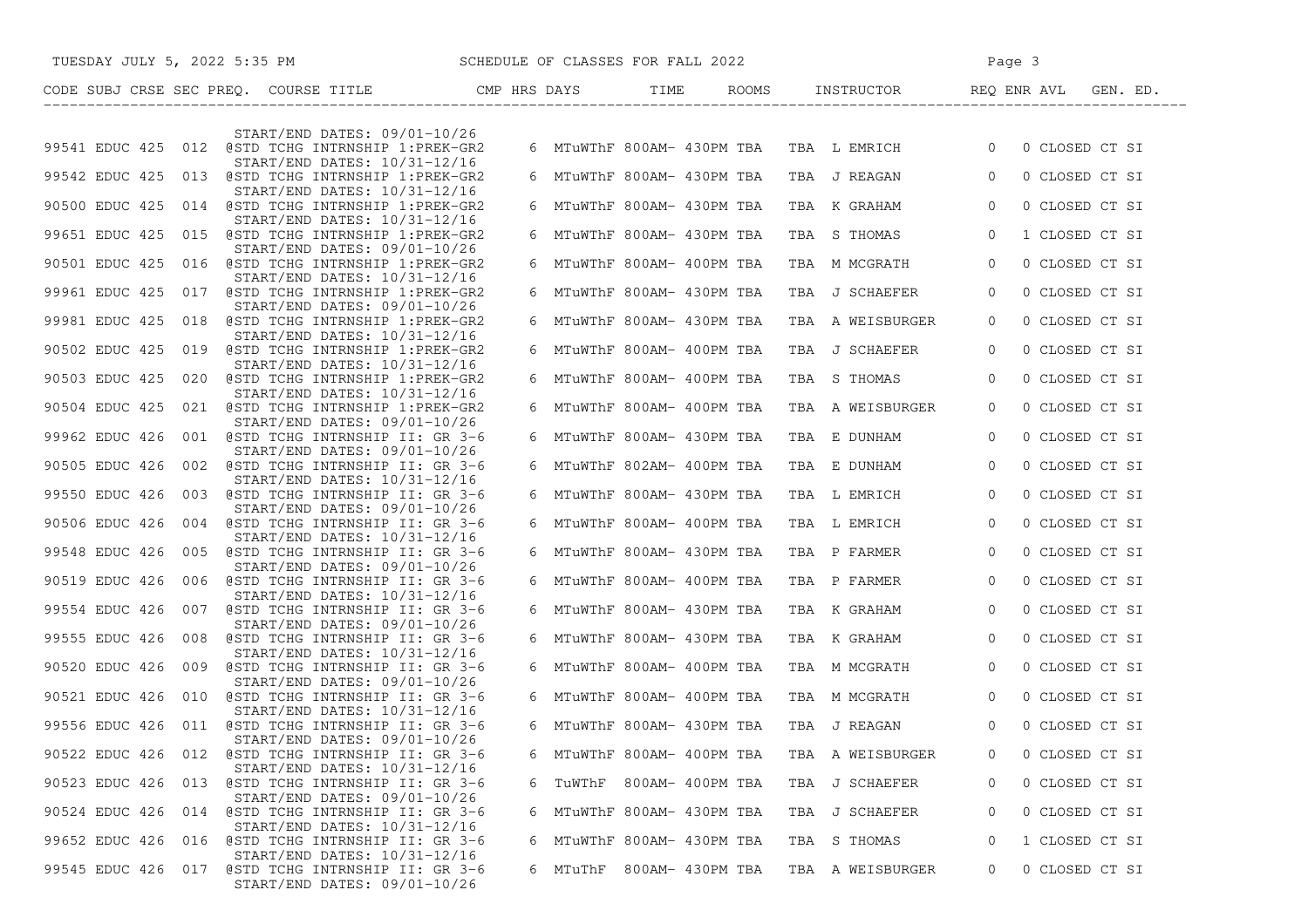|                | TUESDAY JULY 5, 2022 5:35 PM SCHEDULE OF CLASSES FOR FALL 2022                                |   |                            | Page 3                                                   |                |                |  |
|----------------|-----------------------------------------------------------------------------------------------|---|----------------------------|----------------------------------------------------------|----------------|----------------|--|
|                | CODE SUBJ CRSE SEC PREQ. COURSE TITLE CMP HRS DAYS TIME ROOMS INSTRUCTOR REQ ENR AVL GEN. ED. |   |                            | _________________                                        |                |                |  |
|                |                                                                                               |   |                            |                                                          |                |                |  |
|                | $START/END$ DATES: $09/01-10/26$<br>99541 EDUC 425 012 @STD TCHG INTRNSHIP 1:PREK-GR2         |   |                            | 6 MTuWThF 800AM- 430PM TBA TBA L EMRICH 0 0 CLOSED CT SI |                |                |  |
|                | START/END DATES: 10/31-12/16<br>99542 EDUC 425 013 @STD TCHG INTRNSHIP 1:PREK-GR2             |   | 6 MTuWThF 800AM- 430PM TBA | TBA J REAGAN                                             | $\Omega$       | 0 CLOSED CT SI |  |
|                | START/END DATES: 10/31-12/16<br>90500 EDUC 425 014 @STD TCHG INTRNSHIP 1:PREK-GR2             |   | 6 MTuWThF 800AM- 430PM TBA | TBA K GRAHAM                                             | $\overline{0}$ | 0 CLOSED CT SI |  |
|                | START/END DATES: 10/31-12/16<br>99651 EDUC 425 015 @STD TCHG INTRNSHIP 1:PREK-GR2             |   | 6 MTuWThF 800AM- 430PM TBA | TBA S THOMAS                                             | $\overline{0}$ | 1 CLOSED CT SI |  |
|                | START/END DATES: 09/01-10/26<br>90501 EDUC 425 016 @STD TCHG INTRNSHIP 1:PREK-GR2             |   | 6 MTuWThF 800AM- 400PM TBA | TBA M MCGRATH                                            | $\overline{0}$ | 0 CLOSED CT SI |  |
|                | START/END DATES: 10/31-12/16<br>99961 EDUC 425 017 @STD TCHG INTRNSHIP 1:PREK-GR2             |   | 6 MTuWThF 800AM- 430PM TBA | TBA J SCHAEFER                                           | $\overline{0}$ | 0 CLOSED CT SI |  |
|                | START/END DATES: 09/01-10/26<br>99981 EDUC 425 018 @STD TCHG INTRNSHIP 1:PREK-GR2             |   | 6 MTuWThF 800AM- 430PM TBA | TBA A WEISBURGER                                         | $\Omega$       | 0 CLOSED CT SI |  |
|                | START/END DATES: 10/31-12/16<br>90502 EDUC 425 019 @STD TCHG INTRNSHIP 1:PREK-GR2             |   | 6 MTuWThF 800AM- 400PM TBA | TBA J SCHAEFER                                           | $\circ$        | 0 CLOSED CT SI |  |
|                | START/END DATES: 10/31-12/16<br>90503 EDUC 425 020 @STD TCHG INTRNSHIP 1:PREK-GR2             |   | 6 MTuWThF 800AM- 400PM TBA | TBA S THOMAS                                             | $\Omega$       | 0 CLOSED CT SI |  |
|                | START/END DATES: 10/31-12/16<br>90504 EDUC 425 021 @STD TCHG INTRNSHIP 1:PREK-GR2             |   | 6 MTuWThF 800AM- 400PM TBA | TBA A WEISBURGER                                         | $\mathbf{0}$   | 0 CLOSED CT SI |  |
|                | START/END DATES: 09/01-10/26<br>99962 EDUC 426 001 @STD TCHG INTRNSHIP II: GR 3-6             |   | 6 MTuWThF 800AM- 430PM TBA | TBA E DUNHAM                                             | $\Omega$       | 0 CLOSED CT SI |  |
|                | START/END DATES: 09/01-10/26<br>90505 EDUC 426 002 @STD TCHG INTRNSHIP II: GR 3-6             |   | 6 MTuWThF 802AM- 400PM TBA | TBA E DUNHAM                                             | $\overline{0}$ | 0 CLOSED CT SI |  |
|                | START/END DATES: 10/31-12/16<br>99550 EDUC 426 003 @STD TCHG INTRNSHIP II: GR 3-6             |   | 6 MTuWThF 800AM- 430PM TBA | TBA L EMRICH                                             | $\overline{0}$ | 0 CLOSED CT SI |  |
|                | START/END DATES: 09/01-10/26<br>90506 EDUC 426 004 @STD TCHG INTRNSHIP II: GR 3-6             |   | 6 MTuWThF 800AM- 400PM TBA | TBA L EMRICH                                             | $\overline{0}$ | 0 CLOSED CT SI |  |
|                | START/END DATES: 10/31-12/16<br>99548 EDUC 426 005 @STD TCHG INTRNSHIP II: GR 3-6             |   | 6 MTuWThF 800AM- 430PM TBA | TBA P FARMER                                             | $\overline{0}$ | 0 CLOSED CT SI |  |
|                | START/END DATES: 09/01-10/26<br>90519 EDUC 426 006 @STD TCHG INTRNSHIP II: GR 3-6             |   | 6 MTuWThF 800AM- 400PM TBA | TBA P FARMER                                             | $\overline{0}$ | 0 CLOSED CT SI |  |
|                | START/END DATES: 10/31-12/16<br>99554 EDUC 426 007 @STD TCHG INTRNSHIP II: GR 3-6             |   | 6 MTuWThF 800AM- 430PM TBA | TBA K GRAHAM                                             | $\overline{0}$ | 0 CLOSED CT SI |  |
|                | START/END DATES: 09/01-10/26<br>99555 EDUC 426 008 @STD TCHG INTRNSHIP II: GR 3-6             |   | 6 MTuWThF 800AM- 430PM TBA | TBA K GRAHAM                                             | $\overline{0}$ | 0 CLOSED CT SI |  |
|                | START/END DATES: 10/31-12/16<br>90520 EDUC 426 009 @STD TCHG INTRNSHIP II: GR 3-6             |   | 6 MTuWThF 800AM- 400PM TBA | TBA M MCGRATH                                            | $\overline{0}$ | 0 CLOSED CT SI |  |
|                | START/END DATES: 09/01-10/26<br>90521 EDUC 426 010 @STD TCHG INTRNSHIP II: GR 3-6             |   | 6 MTuWThF 800AM- 400PM TBA | TBA M MCGRATH                                            | $\overline{0}$ | 0 CLOSED CT SI |  |
|                | START/END DATES: 10/31-12/16<br>99556 EDUC 426 011 @STD TCHG INTRNSHIP II: GR 3-6             |   | 6 MTuWThF 800AM- 430PM TBA | TBA J REAGAN                                             | $\Omega$       | 0 CLOSED CT SI |  |
|                | START/END DATES: 09/01-10/26<br>90522 EDUC 426 012 @STD TCHG INTRNSHIP II: GR 3-6             | 6 | MTuWThF 800AM- 400PM TBA   | TBA A WEISBURGER                                         | 0              | 0 CLOSED CT SI |  |
|                | START/END DATES: 10/31-12/16                                                                  |   |                            |                                                          |                |                |  |
|                | 90523 EDUC 426 013 @STD TCHG INTRNSHIP II: GR 3-6<br>START/END DATES: 09/01-10/26             |   | 6 TuWThF 800AM- 400PM TBA  | TBA J SCHAEFER                                           | $\Omega$       | 0 CLOSED CT SI |  |
| 90524 EDUC 426 | 014 @STD TCHG INTRNSHIP II: GR 3-6<br>START/END DATES: 10/31-12/16                            |   | 6 MTuWThF 800AM- 430PM TBA | TBA J SCHAEFER                                           | 0              | 0 CLOSED CT SI |  |
|                | 99652 EDUC 426 016 @STD TCHG INTRNSHIP II: GR 3-6<br>START/END DATES: 10/31-12/16             | 6 | MTuWThF 800AM- 430PM TBA   | TBA S THOMAS                                             | 0              | 1 CLOSED CT SI |  |
|                | 99545 EDUC 426 017 @STD TCHG INTRNSHIP II: GR 3-6<br>START/END DATES: 09/01-10/26             |   | 6 MTuThF 800AM- 430PM TBA  | TBA A WEISBURGER                                         | 0              | 0 CLOSED CT SI |  |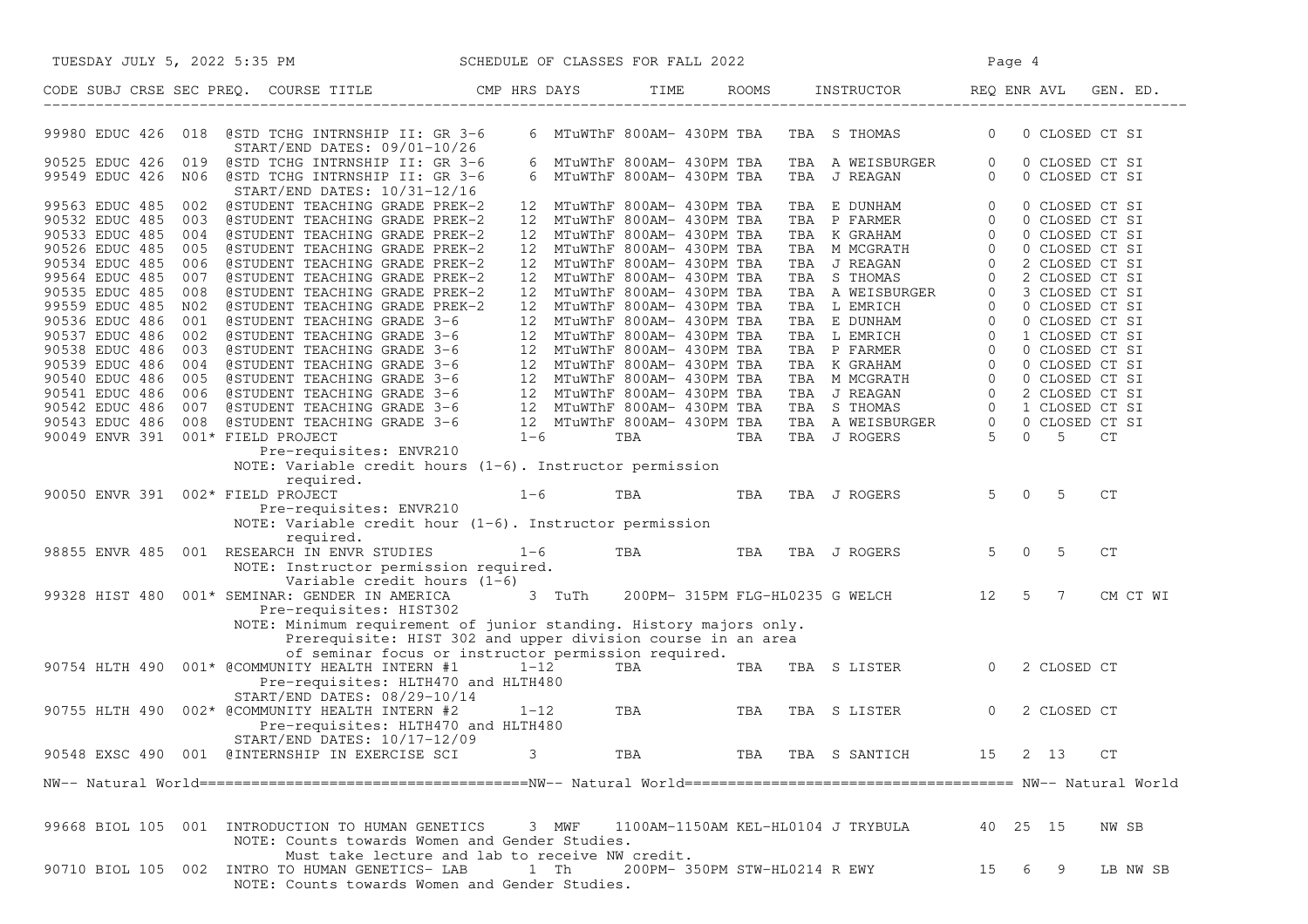| TUESDAY JULY 5, 2022 5:35 PM                                                                                                                                                                                                                                                                                                  | SCHEDULE OF CLASSES FOR FALL 2022                                                                                                                                                        |                                                                                           |                                           | Page 4                                                                                                                                                                                                                                       |  |  |  |  |
|-------------------------------------------------------------------------------------------------------------------------------------------------------------------------------------------------------------------------------------------------------------------------------------------------------------------------------|------------------------------------------------------------------------------------------------------------------------------------------------------------------------------------------|-------------------------------------------------------------------------------------------|-------------------------------------------|----------------------------------------------------------------------------------------------------------------------------------------------------------------------------------------------------------------------------------------------|--|--|--|--|
| CODE SUBJ CRSE SEC PREQ. COURSE TITLE CMP HRS DAYS TIME ROOMS INSTRUCTOR REQ ENR AVL GEN. ED.                                                                                                                                                                                                                                 |                                                                                                                                                                                          |                                                                                           |                                           |                                                                                                                                                                                                                                              |  |  |  |  |
| 99980 EDUC 426 018 @STD TCHG INTRNSHIP II: GR 3-6<br>START/END DATES: 09/01-10/26                                                                                                                                                                                                                                             |                                                                                                                                                                                          |                                                                                           | 6 MTuWThF 800AM- 430PM TBA TBA S THOMAS 0 | 0 CLOSED CT SI                                                                                                                                                                                                                               |  |  |  |  |
| 90525 EDUC 426 019<br>@STD TCHG INTRNSHIP II: GR 3-6<br>99549 EDUC 426 NO6 @STD TCHG INTRNSHIP II: GR 3-6<br>START/END DATES: 10/31-12/16                                                                                                                                                                                     |                                                                                                                                                                                          | 6 MTuWThF 800AM- 430PM TBA<br>6 MTuWThF 800AM- 430PM TBA                                  | TBA AWEISBURGER 0<br>TBA JREAGAN 0        | 0 CLOSED CT SI<br>0 CLOSED CT SI                                                                                                                                                                                                             |  |  |  |  |
| 99563 EDUC 485 002 @STUDENT TEACHING GRADE PREK-2<br>90532 EDUC 485 003<br>@STUDENT TEACHING GRADE PREK-2                                                                                                                                                                                                                     |                                                                                                                                                                                          | 12 MTuWThF 800AM- 430PM TBA<br>12 MTuWThF 800AM- 430PM TBA                                |                                           |                                                                                                                                                                                                                                              |  |  |  |  |
| 90533 EDUC 485<br>004<br>@STUDENT TEACHING GRADE PREK-2<br>90526 EDUC 485<br>@STUDENT TEACHING GRADE PREK-2<br>005<br>90534 EDUC 485<br>@STUDENT TEACHING GRADE PREK-2<br>006                                                                                                                                                 |                                                                                                                                                                                          | 12 MTuWThF 800AM- 430PM TBA<br>12 MTuWThF 800AM- 430PM TBA<br>12 MTuWThF 800AM- 430PM TBA |                                           |                                                                                                                                                                                                                                              |  |  |  |  |
| 99564 EDUC 485<br>007<br>@STUDENT TEACHING GRADE PREK-2<br>90535 EDUC 485<br>008<br>@STUDENT TEACHING GRADE PREK-2<br>99559 EDUC 485<br>@STUDENT TEACHING GRADE PREK-2<br>N02                                                                                                                                                 |                                                                                                                                                                                          | 12 MTuWThF 800AM- 430PM TBA<br>12 MTuWThF 800AM- 430PM TBA<br>12 MTuWThF 800AM- 430PM TBA |                                           |                                                                                                                                                                                                                                              |  |  |  |  |
| 90536 EDUC 486<br>@STUDENT TEACHING GRADE 3-6<br>001<br>90537 EDUC 486<br>@STUDENT TEACHING GRADE 3-6<br>002<br>90538 EDUC 486<br>003                                                                                                                                                                                         |                                                                                                                                                                                          | 12 MTuWThF 800AM- 430PM TBA<br>12 MTuWThF 800AM- 430PM TBA                                |                                           |                                                                                                                                                                                                                                              |  |  |  |  |
| 90539 EDUC 486<br>004<br>90540 EDUC 486<br>005<br>90541 EDUC 486 006                                                                                                                                                                                                                                                          |                                                                                                                                                                                          |                                                                                           |                                           |                                                                                                                                                                                                                                              |  |  |  |  |
| eSTUDENT TEACHING GRADE 3-6<br>eSTUDENT TEACHING GRADE 3-6<br>12 MTuWThF 800AM- 430PM TBA<br>eSTUDENT TEACHING GRADE 3-6<br>12 MTuWThF 800AM- 430PM TBA<br>eSTUDENT TEACHING GRADE 3-6<br>12 MTuWThF 800AM- 430PM TBA<br>eSTUDENT TEACHING G<br>90542 EDUC 486 007<br>90543 EDUC 486 008<br>90049 ENVR 391 001* FIELD PROJECT |                                                                                                                                                                                          |                                                                                           |                                           | TBA E DUNHAM 0 0 CLOSED CT SI<br>TBA K GRAHAM 0 0 CLOSED CT SI<br>TBA K GRAHAM 0 0 CLOSED CT SI<br>TBA J REAGAN 0 2 CLOSED CT SI<br>TBA J REAGAN 0 2 CLOSED CT SI<br>TBA S THOMAS 0 2 CLOSED CT SI<br>TBA L EMRICH 0 0 CLOSED CT SI<br>TBA L |  |  |  |  |
| Pre-requisites: ENVR210                                                                                                                                                                                                                                                                                                       | NOTE: Variable credit hours $(1-6)$ . Instructor permission                                                                                                                              |                                                                                           |                                           |                                                                                                                                                                                                                                              |  |  |  |  |
| required.<br>90050 ENVR 391 002* FIELD PROJECT<br>Pre-requisites: ENVR210                                                                                                                                                                                                                                                     | $1-6$ TBA<br>NOTE: Variable credit hour $(1-6)$ . Instructor permission                                                                                                                  | TBA                                                                                       | TBA J ROGERS                              | $5 \t 0 \t 5$<br>CT                                                                                                                                                                                                                          |  |  |  |  |
| required.<br>98855 ENVR 485 001 RESEARCH IN ENVR STUDIES<br>NOTE: Instructor permission required.                                                                                                                                                                                                                             | $1 - 6$                                                                                                                                                                                  | TBA <b>TRANGER</b><br>TBA                                                                 | TBA J ROGERS                              | $5 \t 0 \t 5$<br>CT                                                                                                                                                                                                                          |  |  |  |  |
| Variable credit hours (1-6)<br>99328 HIST 480 001* SEMINAR: GENDER IN AMERICA<br>Pre-requisites: HIST302                                                                                                                                                                                                                      |                                                                                                                                                                                          |                                                                                           | 3 TuTh 200PM-315PM FLG-HL0235 G WELCH 12  | 5 7<br>CM CT WI                                                                                                                                                                                                                              |  |  |  |  |
|                                                                                                                                                                                                                                                                                                                               | NOTE: Minimum requirement of junior standing. History majors only.<br>Prerequisite: HIST 302 and upper division course in an area<br>of seminar focus or instructor permission required. |                                                                                           |                                           |                                                                                                                                                                                                                                              |  |  |  |  |
| 90754 HLTH 490 001* @COMMUNITY HEALTH INTERN #1<br>Pre-requisites: HLTH470 and HLTH480<br>START/END DATES: 08/29-10/14                                                                                                                                                                                                        |                                                                                                                                                                                          | $1-12$ TBA TBA                                                                            | TBA S LISTER 0                            | 2 CLOSED CT                                                                                                                                                                                                                                  |  |  |  |  |
| 90755 HLTH 490 002* @COMMUNITY HEALTH INTERN #2<br>Pre-requisites: HLTH470 and HLTH480<br>START/END DATES: 10/17-12/09                                                                                                                                                                                                        | $1 - 12$                                                                                                                                                                                 | TBA TBA                                                                                   | TBA S LISTER                              | $\overline{0}$<br>2 CLOSED CT                                                                                                                                                                                                                |  |  |  |  |
| 90548 EXSC 490 001 @INTERNSHIP IN EXERCISE SCI                                                                                                                                                                                                                                                                                | 3                                                                                                                                                                                        | TBA                                                                                       | TBA TBA S SANTICH                         | 2 13<br>15<br>CT                                                                                                                                                                                                                             |  |  |  |  |
|                                                                                                                                                                                                                                                                                                                               |                                                                                                                                                                                          |                                                                                           |                                           |                                                                                                                                                                                                                                              |  |  |  |  |
| 99668 BIOL 105 001 INTRODUCTION TO HUMAN GENETICS                                                                                                                                                                                                                                                                             | 3 MWF<br>NOTE: Counts towards Women and Gender Studies.                                                                                                                                  | 1100AM-1150AM KEL-HL0104 J TRYBULA                                                        |                                           | 40 25 15<br>NW SB                                                                                                                                                                                                                            |  |  |  |  |
| 90710 BIOL 105 002 INTRO TO HUMAN GENETICS- LAB 1 Th                                                                                                                                                                                                                                                                          | Must take lecture and lab to receive NW credit.<br>NOTE: Counts towards Women and Gender Studies.                                                                                        | 200PM- 350PM STW-HL0214 R EWY                                                             |                                           | 15 6 9<br>LB NW SB                                                                                                                                                                                                                           |  |  |  |  |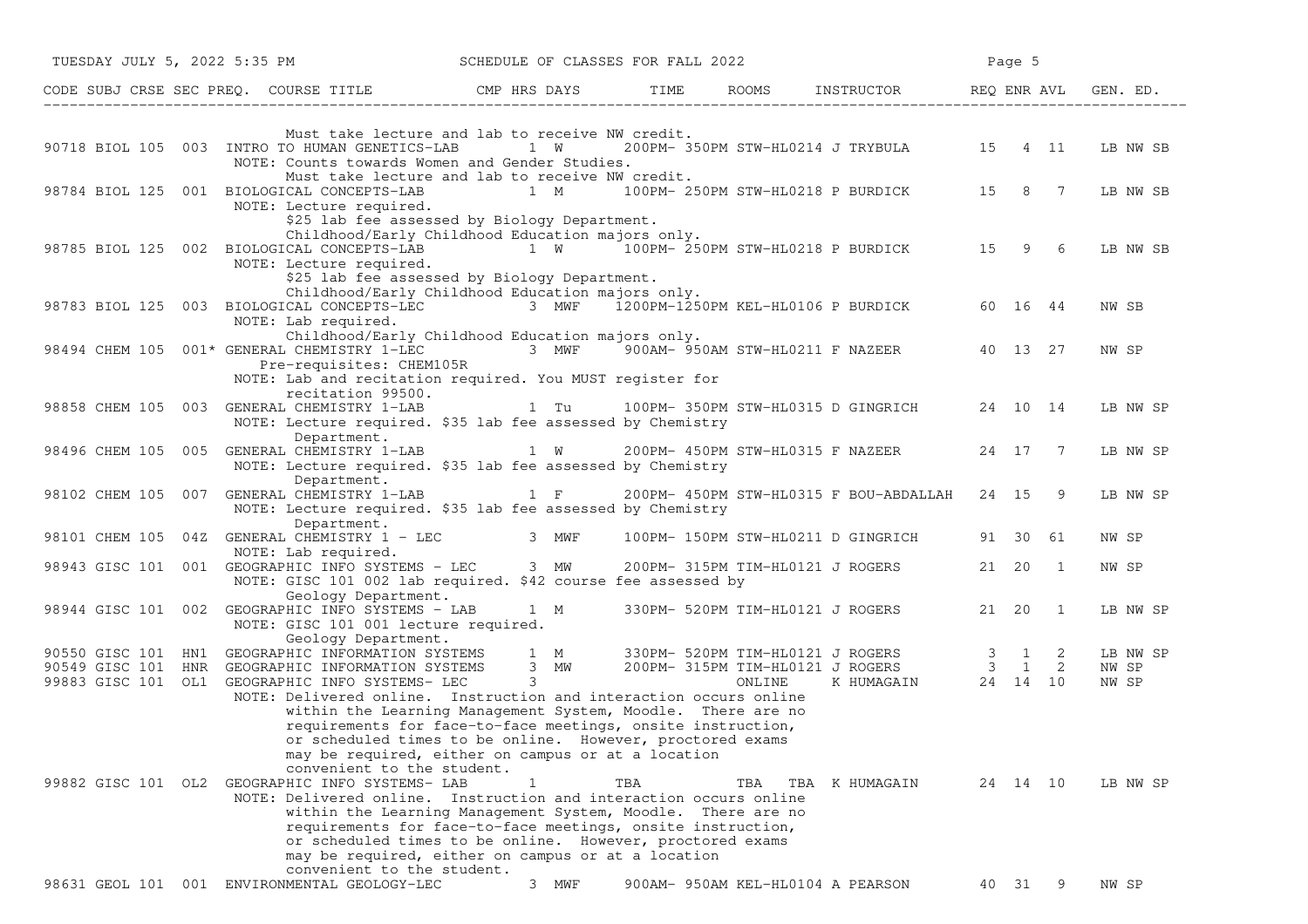|                                            | TUESDAY JULY 5, 2022 5:35 PM                                                                                                                                                                                                                                                                                                                  | SCHEDULE OF CLASSES FOR FALL 2022                 |     |     |                                                | Page 5    |                |
|--------------------------------------------|-----------------------------------------------------------------------------------------------------------------------------------------------------------------------------------------------------------------------------------------------------------------------------------------------------------------------------------------------|---------------------------------------------------|-----|-----|------------------------------------------------|-----------|----------------|
|                                            | CODE SUBJ CRSE SEC PREQ. COURSE TITLE THE CMP HRS DAYS TIME ROOMS INSTRUCTOR REQ ENR AVL GE THE LOODE SUBJ CRSE SEC PREQ.                                                                                                                                                                                                                     |                                                   |     |     |                                                |           | GEN. ED.       |
|                                            | Must take lecture and lab to receive NW credit.                                                                                                                                                                                                                                                                                               |                                                   |     |     |                                                |           |                |
|                                            | 90718 BIOL 105 003 INTRO TO HUMAN GENETICS-LAB 1 W 200PM-350PM STW-HL0214 J TRYBULA 15 4 11<br>NOTE: Counts towards Women and Gender Studies.                                                                                                                                                                                                 |                                                   |     |     |                                                |           | LB NW SB       |
|                                            | Must take lecture and lab to receive NW credit.<br>98784 BIOL 125 001 BIOLOGICAL CONCEPTS-LAB 1 M 100PM-250PM STW-HL0218 P BURDICK 15 8 7<br>NOTE: Lecture required.                                                                                                                                                                          |                                                   |     |     |                                                |           | LB NW SB       |
|                                            | \$25 lab fee assessed by Biology Department.<br>Childhood/Early Childhood Education majors only.<br>98785 BIOL 125 002 BIOLOGICAL CONCEPTS-LAB 1 W 100PM- 250PM STW-HL0218 P BURDICK 15 9 6                                                                                                                                                   |                                                   |     |     |                                                |           | LB NW SB       |
|                                            | NOTE: Lecture required.<br>\$25 lab fee assessed by Biology Department.                                                                                                                                                                                                                                                                       |                                                   |     |     |                                                |           |                |
| 98783 BIOL 125 003 BIOLOGICAL CONCEPTS-LEC | Childhood/Early Childhood Education majors only.<br>NOTE: Lab required.                                                                                                                                                                                                                                                                       | 3 MWF 1200PM-1250PM KEL-HL0106 P BURDICK 60 16 44 |     |     |                                                |           | NW SB          |
|                                            | Childhood/Early Childhood Education majors only.<br>98494 CHEM 105 001* GENERAL CHEMISTRY 1-LEC 3 MWF 900AM-950AM STW-HL0211 F NAZEER 40 13 27<br>Pre-requisites: CHEM105R                                                                                                                                                                    |                                                   |     |     |                                                |           | NW SP          |
|                                            | NOTE: Lab and recitation required. You MUST register for<br>recitation 99500.                                                                                                                                                                                                                                                                 |                                                   |     |     |                                                |           |                |
| 98858 CHEM 105 003 GENERAL CHEMISTRY 1-LAB | NOTE: Lecture required. \$35 lab fee assessed by Chemistry                                                                                                                                                                                                                                                                                    |                                                   |     |     |                                                |           | LB NW SP       |
|                                            | Department.<br>98496 CHEM 105 005 GENERAL CHEMISTRY 1-LAB 1 W 200PM-450PM STW-HL0315 F NAZEER<br>NOTE: Lecture required. \$35 lab fee assessed by Chemistry                                                                                                                                                                                   |                                                   |     |     |                                                | 24 17 7   | LB NW SP       |
| 98102 CHEM 105 007 GENERAL CHEMISTRY 1-LAB | Department.<br>NOTE: Lecture required. \$35 lab fee assessed by Chemistry                                                                                                                                                                                                                                                                     | $1 \t F$                                          |     |     | 200PM- 450PM STW-HL0315 F BOU-ABDALLAH 24 15 9 |           | LB NW SP       |
| 98101 CHEM 105                             | Department.<br>04Z GENERAL CHEMISTRY 1 - LEC 3 MWF<br>NOTE: Lab required.                                                                                                                                                                                                                                                                     |                                                   |     |     | 100PM- 150PM STW-HL0211 D GINGRICH             | 91 30 61  | NW SP          |
|                                            | 98943 GISC 101 001 GEOGRAPHIC INFO SYSTEMS - LEC 3 MW<br>NOTE: GISC 101 002 lab required. \$42 course fee assessed by                                                                                                                                                                                                                         |                                                   |     |     | 200PM- 315PM TIM-HL0121 J ROGERS               | 21  20  1 | NW SP          |
|                                            | Geology Department.<br>98944 GISC 101 002 GEOGRAPHIC INFO SYSTEMS - LAB<br>NOTE: GISC 101 001 lecture required.                                                                                                                                                                                                                               | 1 M                                               |     |     | 330PM- 520PM TIM-HL0121 J ROGERS               | 21  20  1 | LB NW SP       |
|                                            | Geology Department.                                                                                                                                                                                                                                                                                                                           |                                                   |     |     |                                                |           | LB NW SP       |
|                                            | 90550 GISC 101 HN1 GEOGRAPHIC INFORMATION SYSTEMS 1 M 330PM- 520PM TIM-HL0121 J ROGERS 3 1 2<br>90549 GISC 101 HNR GEOGRAPHIC INFORMATION SYSTEMS 3 MW 200PM- 315PM TIM-HL0121 J ROGERS 3 1 2<br>99883 GISC 101 OL1 GEOGRAPHIC INFO                                                                                                           |                                                   |     |     |                                                |           | NW SP<br>NW SP |
|                                            | NOTE: Delivered online. Instruction and interaction occurs online<br>within the Learning Management System, Moodle. There are no<br>requirements for face-to-face meetings, onsite instruction,<br>or scheduled times to be online. However, proctored exams<br>may be required, either on campus or at a location                            |                                                   |     |     |                                                |           |                |
|                                            | convenient to the student.<br>99882 GISC 101 OL2 GEOGRAPHIC INFO SYSTEMS- LAB<br>NOTE: Delivered online. Instruction and interaction occurs online<br>within the Learning Management System, Moodle. There are no<br>requirements for face-to-face meetings, onsite instruction,<br>or scheduled times to be online. However, proctored exams | 1                                                 | TBA | TBA | TBA K HUMAGAIN                                 | 24 14 10  | LB NW SP       |
|                                            | may be required, either on campus or at a location<br>convenient to the student.<br>98631 GEOL 101 001 ENVIRONMENTAL GEOLOGY-LEC                                                                                                                                                                                                              | 3 MWF                                             |     |     | 900AM- 950AM KEL-HL0104 A PEARSON              | 40 31 9   | NW SP          |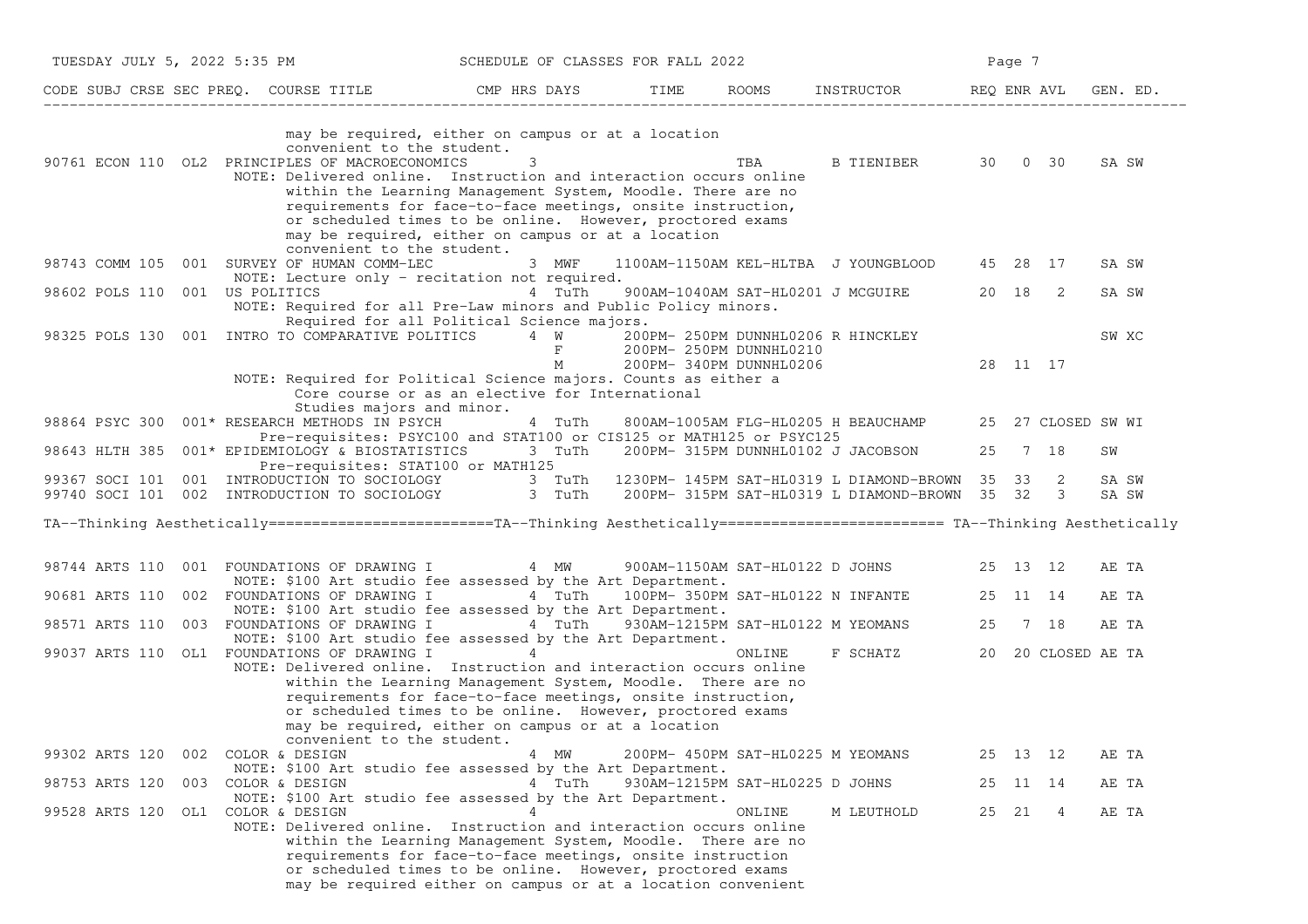| TUESDAY JULY 5, 2022 5:35 PM |     |                                                                                                                                                                                                                                                                                                                                                                                                                 | SCHEDULE OF CLASSES FOR FALL 2022 |                 |  |                                   |                                                                                    |    | Page 7   |                    |                |  |
|------------------------------|-----|-----------------------------------------------------------------------------------------------------------------------------------------------------------------------------------------------------------------------------------------------------------------------------------------------------------------------------------------------------------------------------------------------------------------|-----------------------------------|-----------------|--|-----------------------------------|------------------------------------------------------------------------------------|----|----------|--------------------|----------------|--|
|                              |     | CODE SUBJ CRSE SEC PREQ. COURSE TITLE THE ROOMS INSTRUCTOR THE ROOMS INSTRUCTOR THE REQ ENR AVL GEN. ED.                                                                                                                                                                                                                                                                                                        |                                   |                 |  |                                   |                                                                                    |    |          |                    |                |  |
|                              |     | may be required, either on campus or at a location<br>convenient to the student.<br>90761 ECON 110 OL2 PRINCIPLES OF MACROECONOMICS<br>NOTE: Delivered online. Instruction and interaction occurs online<br>within the Learning Management System, Moodle. There are no<br>requirements for face-to-face meetings, onsite instruction,<br>or scheduled times to be online. However, proctored exams             | 3                                 |                 |  | TBA                               | B TIENIBER 30 0 30                                                                 |    |          |                    | SA SW          |  |
|                              |     | may be required, either on campus or at a location<br>convenient to the student.<br>98743 COMM 105 001 SURVEY OF HUMAN COMM-LEC<br>NOTE: Lecture only - recitation not required.<br>001 US POLITICS                                                                                                                                                                                                             |                                   | 3 MWF<br>4 TuTh |  |                                   | 1100AM-1150AM KEL-HLTBA J YOUNGBLOOD 45 28 17<br>900AM-1040AM SAT-HL0201 J MCGUIRE |    | 20 18    | $\overline{2}$     | SA SW          |  |
| 98602 POLS 110               |     | NOTE: Required for all Pre-Law minors and Public Policy minors.<br>Required for all Political Science majors.<br>98325 POLS 130 001 INTRO TO COMPARATIVE POLITICS 4 W                                                                                                                                                                                                                                           |                                   | $\mathbf F$     |  | 200PM- 250PM DUNNHL0210           | 200PM- 250PM DUNNHL0206 R HINCKLEY                                                 |    |          |                    | SA SW<br>SW XC |  |
| 98864 PSYC 300               |     | NOTE: Required for Political Science majors. Counts as either a<br>Core course or as an elective for International<br>Studies majors and minor.<br>001* RESEARCH METHODS IN PSYCH                                                                                                                                                                                                                               |                                   | M<br>4 TuTh     |  | 200PM- 340PM DUNNHL0206           | 800AM-1005AM FLG-HL0205 H BEAUCHAMP                                                |    | 28 11 17 | 25 27 CLOSED SW WI |                |  |
| 98643 HLTH 385               |     | Pre-requisites: PSYC100 and STAT100 or CIS125 or MATH125 or PSYC125<br>001* EPIDEMIOLOGY & BIOSTATISTICS 3 TuTh                                                                                                                                                                                                                                                                                                 |                                   |                 |  |                                   | 200PM- 315PM DUNNHL0102 J JACOBSON                                                 | 25 | 7 18     |                    | SW             |  |
|                              |     | Pre-requisites: STAT100 or MATH125<br>99367 SOCI 101 001 INTRODUCTION TO SOCIOLOGY 3 TuTh 1230PM-145PM SAT-HL0319 L DIAMOND-BROWN 35 33 2<br>99740 SOCI 101 002 INTRODUCTION TO SOCIOLOGY 3 TuTh 200PM-315PM SAT-HL0319 L DIAMOND-BROWN 35 32 3                                                                                                                                                                 |                                   |                 |  |                                   |                                                                                    |    |          |                    | SA SW<br>SA SW |  |
|                              |     | TA--Thinking Aesthetically=========================TA--Thinking Aesthetically======================== TA--Thinking Aesthetically                                                                                                                                                                                                                                                                                |                                   |                 |  |                                   |                                                                                    |    |          |                    |                |  |
| 98744 ARTS 110               |     | 001 FOUNDATIONS OF DRAWING I<br>NOTE: \$100 Art studio fee assessed by the Art Department.                                                                                                                                                                                                                                                                                                                      |                                   | 4 MW            |  |                                   | 900AM-1150AM SAT-HL0122 D JOHNS 25 13 12                                           |    |          |                    | AE TA          |  |
| 90681 ARTS 110               |     | 002 FOUNDATIONS OF DRAWING I<br>NOTE: \$100 Art studio fee assessed by the Art Department.                                                                                                                                                                                                                                                                                                                      |                                   |                 |  |                                   | 4 TuTh 100PM-350PM SAT-HL0122 N INFANTE                                            |    | 25 11 14 |                    | AE TA          |  |
| 98571 ARTS 110               |     | 003 FOUNDATIONS OF DRAWING I 4 TuTh 930AM-1215PM SAT-HL0122 M YEOMANS<br>NOTE: \$100 Art studio fee assessed by the Art Department.                                                                                                                                                                                                                                                                             |                                   |                 |  |                                   |                                                                                    | 25 |          | 7 18               | AE TA          |  |
|                              |     | 99037 ARTS 110 OL1 FOUNDATIONS OF DRAWING I $\hskip 10mm 4$<br>NOTE: Delivered online. Instruction and interaction occurs online<br>within the Learning Management System, Moodle. There are no<br>requirements for face-to-face meetings, onsite instruction,<br>or scheduled times to be online. However, proctored exams<br>may be required, either on campus or at a location<br>convenient to the student. |                                   |                 |  | ONLINE                            | F SCHATZ                                                                           |    |          | 20 20 CLOSED AE TA |                |  |
| 99302 ARTS 120               | 002 | COLOR & DESIGN<br>NOTE: \$100 Art studio fee assessed by the Art Department.                                                                                                                                                                                                                                                                                                                                    |                                   | 4 MW            |  | 200PM- 450PM SAT-HL0225 M YEOMANS |                                                                                    |    | 25 13 12 |                    | AE TA          |  |
| 98753 ARTS 120               |     | 003 COLOR & DESIGN<br>NOTE: \$100 Art studio fee assessed by the Art Department.                                                                                                                                                                                                                                                                                                                                |                                   | 4 TuTh          |  | 930AM-1215PM SAT-HL0225 D JOHNS   |                                                                                    | 25 | 11 14    |                    | AE TA          |  |
| 99528 ARTS 120               |     | OL1 COLOR & DESIGN<br>NOTE: Delivered online. Instruction and interaction occurs online<br>within the Learning Management System, Moodle. There are no<br>requirements for face-to-face meetings, onsite instruction<br>or scheduled times to be online. However, proctored exams<br>may be required either on campus or at a location convenient                                                               | 4                                 |                 |  | ONLINE                            | M LEUTHOLD                                                                         |    | 25 21    | -4                 | AE TA          |  |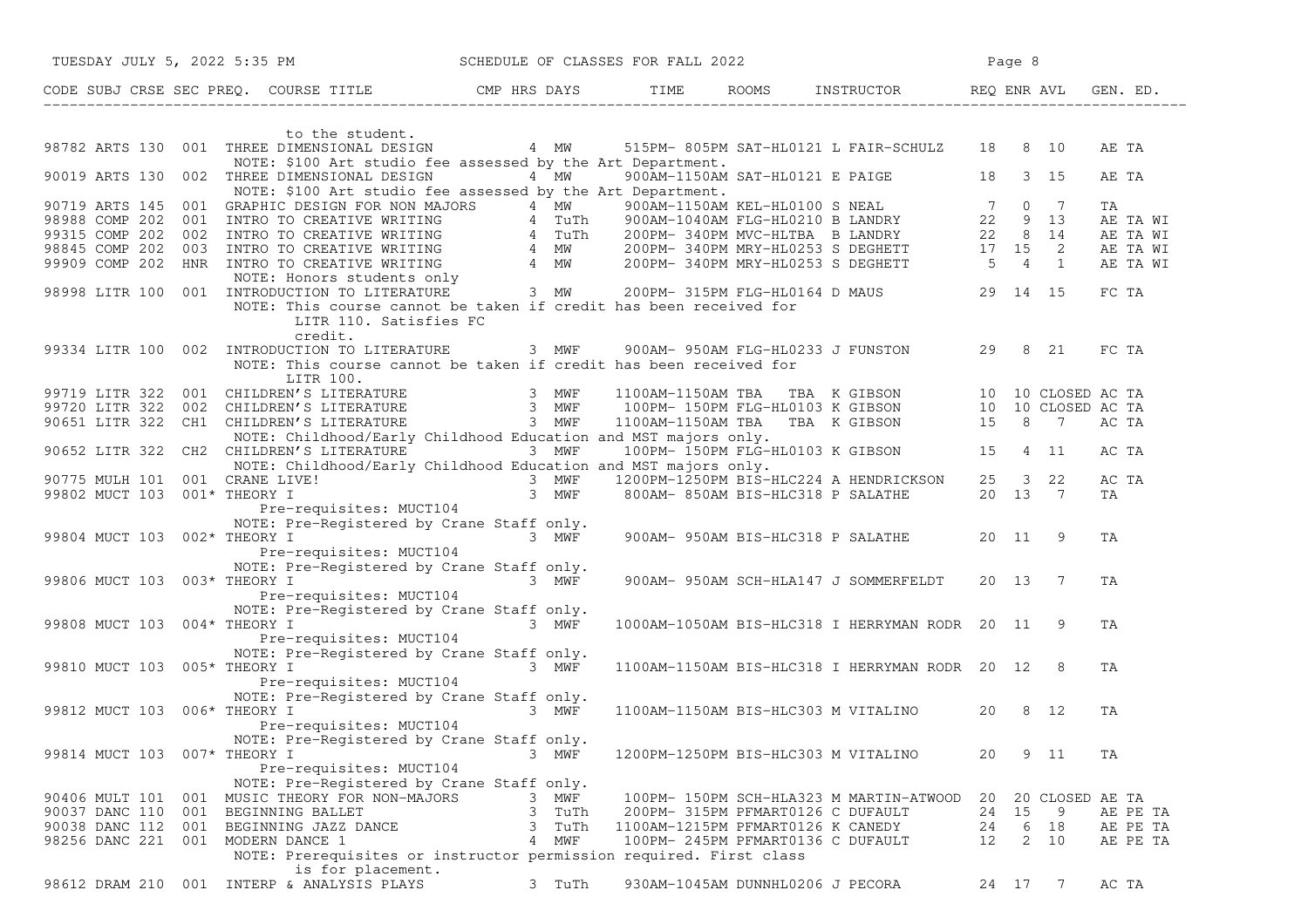| TUESDAY JULY 5, 2022 5:35 PM   |                                                                                                                                                                                                                                      | SCHEDULE OF CLASSES FOR FALL 2022                                                                                    |                                     |                                                |       | Page 8          |                |
|--------------------------------|--------------------------------------------------------------------------------------------------------------------------------------------------------------------------------------------------------------------------------------|----------------------------------------------------------------------------------------------------------------------|-------------------------------------|------------------------------------------------|-------|-----------------|----------------|
|                                | CODE SUBJ CRSE SEC PREQ. COURSE TITLE THE CMP HRS DAYS TIME                                                                                                                                                                          |                                                                                                                      |                                     | ROOMS INSTRUCTOR                               |       | REQ ENR AVL     | GEN. ED.       |
|                                | to the student.                                                                                                                                                                                                                      |                                                                                                                      |                                     |                                                |       |                 |                |
| 98782 ARTS 130                 | 001 THREE DIMENSIONAL DESIGN 4 MW<br>NOTE: \$100 Art studio fee assessed by the Art Department.                                                                                                                                      |                                                                                                                      |                                     | 515PM-805PM SAT-HL0121 L FAIR-SCHULZ 18 8 10   |       |                 | AE TA          |
| 90019 ARTS 130                 | 002 THREE DIMENSIONAL DESIGN<br>NOTE: \$100 Art studio fee assessed by the Art Department.                                                                                                                                           | 4 MW                                                                                                                 |                                     | 900AM-1150AM SAT-HL0121 E PAIGE 18 3 15        |       |                 | AE TA          |
|                                | 90719 ARTS 145 001 GRAPHIC DESIGN FOR NON MAJORS 4 MW 900AM-1150AM KEL-HL0100 S NEAL 7 0 7<br>98988 COMP 202 001 INTRO TO CREATIVE WRITING 4 TuTh 900AM-1150AM FLG-HL0210 BLANDRY 22 9 13<br>99315 COMP 202 002 INTRO TO CREATIVE WR |                                                                                                                      |                                     |                                                |       |                 | TA<br>AE TA WI |
|                                |                                                                                                                                                                                                                                      |                                                                                                                      |                                     |                                                |       |                 | AE TA WI       |
|                                |                                                                                                                                                                                                                                      |                                                                                                                      |                                     |                                                |       |                 | AE TA WI       |
|                                |                                                                                                                                                                                                                                      |                                                                                                                      |                                     |                                                |       |                 | AE TA WI       |
|                                |                                                                                                                                                                                                                                      |                                                                                                                      |                                     |                                                |       |                 |                |
|                                |                                                                                                                                                                                                                                      |                                                                                                                      |                                     |                                                |       |                 | FC TA          |
|                                | NOTE: This course cannot be taken if credit has been received for<br>LITR 110. Satisfies FC<br>credit.                                                                                                                               |                                                                                                                      |                                     |                                                |       |                 |                |
|                                | 99334 LITR 100 002 INTRODUCTION TO LITERATURE                                                                                                                                                                                        | 3 MWF                                                                                                                |                                     | 900AM- 950AM FLG-HL0233 J FUNSTON              |       | 29 8 21         | FC TA          |
|                                | NOTE: This course cannot be taken if credit has been received for<br>LITR 100.                                                                                                                                                       |                                                                                                                      |                                     |                                                |       |                 |                |
|                                | 99719 LITR 322 001 CHILDREN'S LITERATURE 3 MWF 1100AM-1150AM TBA TBA K GIBSON 10 10 CLOSED AC TA<br>100PM- 150PM FLG-HLO103 K GIBSON 10 10 CLOSED AC TA 3 MWF 100PM- 150PM FLG-HLO103 K GIBSON 10 10 CLOSED AC TA<br>100651 LITR 322 |                                                                                                                      |                                     |                                                |       |                 |                |
|                                |                                                                                                                                                                                                                                      |                                                                                                                      |                                     |                                                |       |                 |                |
|                                |                                                                                                                                                                                                                                      |                                                                                                                      |                                     |                                                |       |                 |                |
|                                | NOTE: Childhood/Early Childhood Education and MST majors only.<br>90652 LITR 322 CH2 CHILDREN'S LITERATURE 3 MWF<br>NOTE: Childhood/Early Childhood Education and MST majors only.                                                   |                                                                                                                      |                                     | 100PM-150PM FLG-HL0103 K GIBSON 15 4 11        |       |                 | AC TA          |
| 90775 MULH 101 001 CRANE LIVE! |                                                                                                                                                                                                                                      | $3$ MWF $1200$ PM- $1250$ PM BTS-HLC224 A HENDRICKSON 25 3 22<br>3 MWF 8002M-1250PM BTS-HLC224 A HENDRICKSON 25 3 22 |                                     |                                                |       |                 | AC TA          |
| 99802 MUCT 103 001* THEORY I   |                                                                                                                                                                                                                                      | 3 MWF                                                                                                                | 800AM- 850AM BIS-HLC318 P SALATHE   |                                                |       | 20 13 7         | TA             |
|                                | Pre-requisites: MUCT104                                                                                                                                                                                                              |                                                                                                                      |                                     |                                                |       |                 |                |
|                                | NOTE: Pre-Registered by Crane Staff only.                                                                                                                                                                                            |                                                                                                                      |                                     |                                                |       |                 |                |
| 99804 MUCT 103 002* THEORY I   | a shekara ta 1972, a shekara ta 1972, a shekara ta 1972, a shekara ta 1972, a shekara ta 1972, a shekara ta 19                                                                                                                       | 3 MWF                                                                                                                |                                     | 900AM- 950AM BIS-HLC318 P SALATHE              | 20 11 | -9              | TA             |
|                                | Pre-requisites: MUCT104                                                                                                                                                                                                              |                                                                                                                      |                                     |                                                |       |                 |                |
|                                | NOTE: Pre-Registered by Crane Staff only.                                                                                                                                                                                            |                                                                                                                      |                                     |                                                |       |                 |                |
| 99806 MUCT 103 003* THEORY I   |                                                                                                                                                                                                                                      | 3 MWF                                                                                                                |                                     | 900AM- 950AM SCH-HLA147 J SOMMERFELDT          | 20 13 | $\overline{7}$  | TA             |
|                                | Pre-requisites: MUCT104<br>NOTE: Pre-Registered by Crane Staff only.                                                                                                                                                                 |                                                                                                                      |                                     |                                                |       |                 |                |
| 99808 MUCT 103 004* THEORY I   |                                                                                                                                                                                                                                      | 3 MWF                                                                                                                |                                     | 1000AM-1050AM BIS-HLC318 I HERRYMAN RODR 20 11 |       | $\overline{9}$  | TA             |
|                                | Pre-requisites: MUCT104                                                                                                                                                                                                              |                                                                                                                      |                                     |                                                |       |                 |                |
|                                | NOTE: Pre-Registered by Crane Staff only.                                                                                                                                                                                            |                                                                                                                      |                                     |                                                |       |                 |                |
| 99810 MUCT 103                 | $3$ MWF<br>$005*$ THEORY I                                                                                                                                                                                                           |                                                                                                                      |                                     | 1100AM-1150AM BIS-HLC318 I HERRYMAN RODR 20 12 |       | - 8             | TA             |
|                                | Pre-requisites: MUCT104                                                                                                                                                                                                              |                                                                                                                      |                                     |                                                |       |                 |                |
|                                | NOTE: Pre-Registered by Crane Staff only.                                                                                                                                                                                            |                                                                                                                      |                                     |                                                |       |                 |                |
| 99812 MUCT 103 006* THEORY I   |                                                                                                                                                                                                                                      | 3 MWF                                                                                                                |                                     | 1100AM-1150AM BIS-HLC303 M VITALINO            | 20    | 8 12            | TA             |
|                                | Pre-requisites: MUCT104                                                                                                                                                                                                              |                                                                                                                      |                                     |                                                |       |                 |                |
| 99814 MUCT 103 007* THEORY I   | NOTE: Pre-Registered by Crane Staff only.                                                                                                                                                                                            | 3 MWF                                                                                                                | 1200PM-1250PM BIS-HLC303 M VITALINO |                                                | 20    | 9 11            | ΤA             |
|                                | Pre-requisites: MUCT104                                                                                                                                                                                                              |                                                                                                                      |                                     |                                                |       |                 |                |
|                                | NOTE: Pre-Registered by Crane Staff only.                                                                                                                                                                                            |                                                                                                                      |                                     |                                                |       |                 |                |
| 90406 MULT 101                 | MUSIC THEORY FOR NON-MAJORS<br>001                                                                                                                                                                                                   | MWF<br>3.                                                                                                            |                                     | 100PM- 150PM SCH-HLA323 M MARTIN-ATWOOD        | 20    | 20 CLOSED AE TA |                |
| 90037 DANC 110 001             | BEGINNING BALLET                                                                                                                                                                                                                     | 3<br>TuTh                                                                                                            | 200PM- 315PM PFMART0126 C DUFAULT   |                                                | 24    | 15<br>9         | AE PE TA       |
| 90038 DANC 112                 | 001<br>BEGINNING JAZZ DANCE                                                                                                                                                                                                          | 3<br>TuTh                                                                                                            | 1100AM-1215PM PFMART0126 K CANEDY   |                                                | 24    | 18<br>6         | AE PE TA       |
| 98256 DANC 221                 | 001<br>MODERN DANCE 1                                                                                                                                                                                                                | 4 MWF                                                                                                                | 100PM- 245PM PFMART0136 C DUFAULT   |                                                | 12    | 2<br>10         | AE PE TA       |
|                                | NOTE: Prerequisites or instructor permission required. First class                                                                                                                                                                   |                                                                                                                      |                                     |                                                |       |                 |                |
|                                | is for placement.                                                                                                                                                                                                                    |                                                                                                                      |                                     |                                                |       |                 |                |
| 98612 DRAM 210                 | 001 INTERP & ANALYSIS PLAYS                                                                                                                                                                                                          | 3 TuTh                                                                                                               | 930AM-1045AM DUNNHL0206 J PECORA    |                                                |       | 24 17 7         | AC TA          |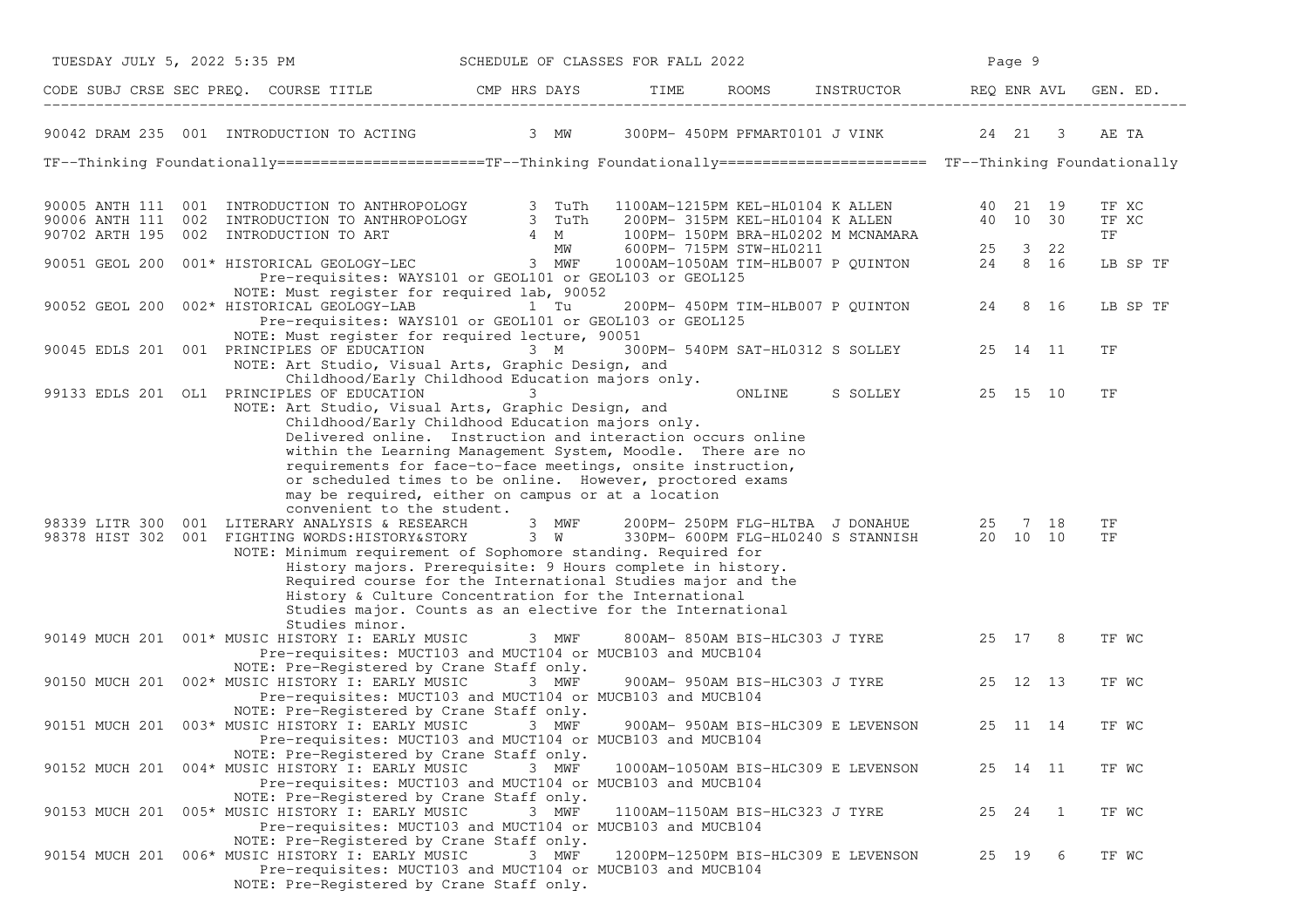| TUESDAY JULY 5, 2022 5:35 PM                                                                                                                                                                                                                                                                                                                                                                                                                                                                         | SCHEDULE OF CLASSES FOR FALL 2022 |                                 | Page 9 |                                           |       |          |                      |
|------------------------------------------------------------------------------------------------------------------------------------------------------------------------------------------------------------------------------------------------------------------------------------------------------------------------------------------------------------------------------------------------------------------------------------------------------------------------------------------------------|-----------------------------------|---------------------------------|--------|-------------------------------------------|-------|----------|----------------------|
| CODE SUBJ CRSE SEC PREQ. COURSE TITLE THE CMP HRS DAYS TIME ROOMS INSTRUCTOR REQ ENR AVL                                                                                                                                                                                                                                                                                                                                                                                                             |                                   |                                 |        | ROOMS INSTRUCTOR REQ ENR AVL              |       |          | GEN. ED.             |
| 90042 DRAM 235 001 INTRODUCTION TO ACTING 3 MW 300PM-450PM PFMART0101 J VINK 24 21 3                                                                                                                                                                                                                                                                                                                                                                                                                 |                                   |                                 |        |                                           |       |          | AE TA                |
| TF--Thinking Foundationally======================TF--Thinking Foundationally======================== TF--Thinking Foundationally                                                                                                                                                                                                                                                                                                                                                                     |                                   |                                 |        |                                           |       |          |                      |
| 90005 ANTH 111 001 INTRODUCTION TO ANTHROPOLOGY 3 TuTh 1100AM-1215PM KEL-HL0104 K ALLEN 40 21 19<br>90006 ANTH 111 002 INTRODUCTION TO ANTHROPOLOGY 3 TuTh 200PM-315PM KEL-HL0104 K ALLEN 40 10 30<br>90702 ARTH 195 002 INTRODUCTIO                                                                                                                                                                                                                                                                 |                                   |                                 |        |                                           |       |          | TF XC<br>TF XC<br>TF |
| Pre-requisites: WAYS101 or GEOL101 or GEOL103 or GEOL125                                                                                                                                                                                                                                                                                                                                                                                                                                             |                                   |                                 |        |                                           |       |          | LB SP TF             |
| NOTE: Must register for required lab, 90052<br>90052 GEOL 200 002* HISTORICAL GEOLOGY-LAB<br>Pre-requisites: WAYS101 or GEOL101 or GEOL103 or GEOL125<br>NOTE: Must register for required lecture, 90051                                                                                                                                                                                                                                                                                             | 1 Tu                              |                                 |        | 200PM- 450PM TIM-HLB007 P QUINTON 24 8 16 |       |          | LB SP TF             |
| 90045 EDLS 201 001 PRINCIPLES OF EDUCATION 3 M 300PM-540PM SAT-HL0312 S SOLLEY<br>NOTE: Art Studio, Visual Arts, Graphic Design, and<br>Childhood/Early Childhood Education majors only.                                                                                                                                                                                                                                                                                                             |                                   |                                 |        |                                           |       | 25 14 11 | ΤF                   |
| 99133 EDLS 201 OL1 PRINCIPLES OF EDUCATION 3<br>NOTE: Art Studio, Visual Arts, Graphic Design, and<br>Childhood/Early Childhood Education majors only.<br>Delivered online. Instruction and interaction occurs online<br>within the Learning Management System, Moodle. There are no<br>requirements for face-to-face meetings, onsite instruction,<br>or scheduled times to be online. However, proctored exams<br>may be required, either on campus or at a location<br>convenient to the student. |                                   |                                 | ONLINE | S SOLLEY                                  |       | 25 15 10 | ΤF                   |
| 98339 LITR 300 001 LITERARY ANALYSIS & RESEARCH 3 MWF<br>98378 HIST 302 001 FIGHTING WORDS: HISTORY&STORY 3 W 330PM- 600PM FLG-HL0240 S STANNISH 20 10 10<br>NOTE: Minimum requirement of Sophomore standing. Required for<br>History majors. Prerequisite: 9 Hours complete in history.<br>Required course for the International Studies major and the<br>History & Culture Concentration for the International<br>Studies major. Counts as an elective for the International<br>Studies minor.     |                                   |                                 |        | 200PM-250PM FLG-HLTBA J DONAHUE 25 7 18   |       |          | ΤF<br>TF             |
| 90149 MUCH 201 001* MUSIC HISTORY I: EARLY MUSIC 3 MWF<br>Pre-requisites: MUCT103 and MUCT104 or MUCB103 and MUCB104                                                                                                                                                                                                                                                                                                                                                                                 |                                   |                                 |        | 800AM-850AM BIS-HLC303 J TYRE 25 17 8     |       |          | TF WC                |
| NOTE: Pre-Registered by Crane Staff only.<br>90150 MUCH 201 002* MUSIC HISTORY I: EARLY MUSIC 3 MWF<br>Pre-requisites: MUCT103 and MUCT104 or MUCB103 and MUCB104                                                                                                                                                                                                                                                                                                                                    |                                   |                                 |        | 900AM- 950AM BIS-HLC303 J TYRE 25 12 13   |       |          | TF WC                |
| NOTE: Pre-Registered by Crane Staff only.<br>90151 MUCH 201 003* MUSIC HISTORY I: EARLY MUSIC 3 MWF<br>Pre-requisites: MUCT103 and MUCT104 or MUCB103 and MUCB104<br>NOTE: Pre-Registered by Crane Staff only.                                                                                                                                                                                                                                                                                       |                                   |                                 |        | 900AM- 950AM BIS-HLC309 E LEVENSON        |       | 25 11 14 | TF WC                |
| 90152 MUCH 201 004* MUSIC HISTORY I: EARLY MUSIC<br>Pre-requisites: MUCT103 and MUCT104 or MUCB103 and MUCB104                                                                                                                                                                                                                                                                                                                                                                                       | 3 MWF                             |                                 |        | 1000AM-1050AM BIS-HLC309 E LEVENSON       |       | 25 14 11 | TF WC                |
| NOTE: Pre-Registered by Crane Staff only.<br>90153 MUCH 201 005* MUSIC HISTORY I: EARLY MUSIC<br>Pre-requisites: MUCT103 and MUCT104 or MUCB103 and MUCB104                                                                                                                                                                                                                                                                                                                                          | 3 MWF                             | 1100AM-1150AM BIS-HLC323 J TYRE |        |                                           | 25 24 | 1        | TF WC                |
| NOTE: Pre-Registered by Crane Staff only.<br>90154 MUCH 201 006* MUSIC HISTORY I: EARLY MUSIC<br>Pre-requisites: MUCT103 and MUCT104 or MUCB103 and MUCB104<br>NOTE: Pre-Registered by Crane Staff only.                                                                                                                                                                                                                                                                                             | 3 MWF                             |                                 |        | 1200PM-1250PM BIS-HLC309 E LEVENSON       | 25 19 | 6        | TF WC                |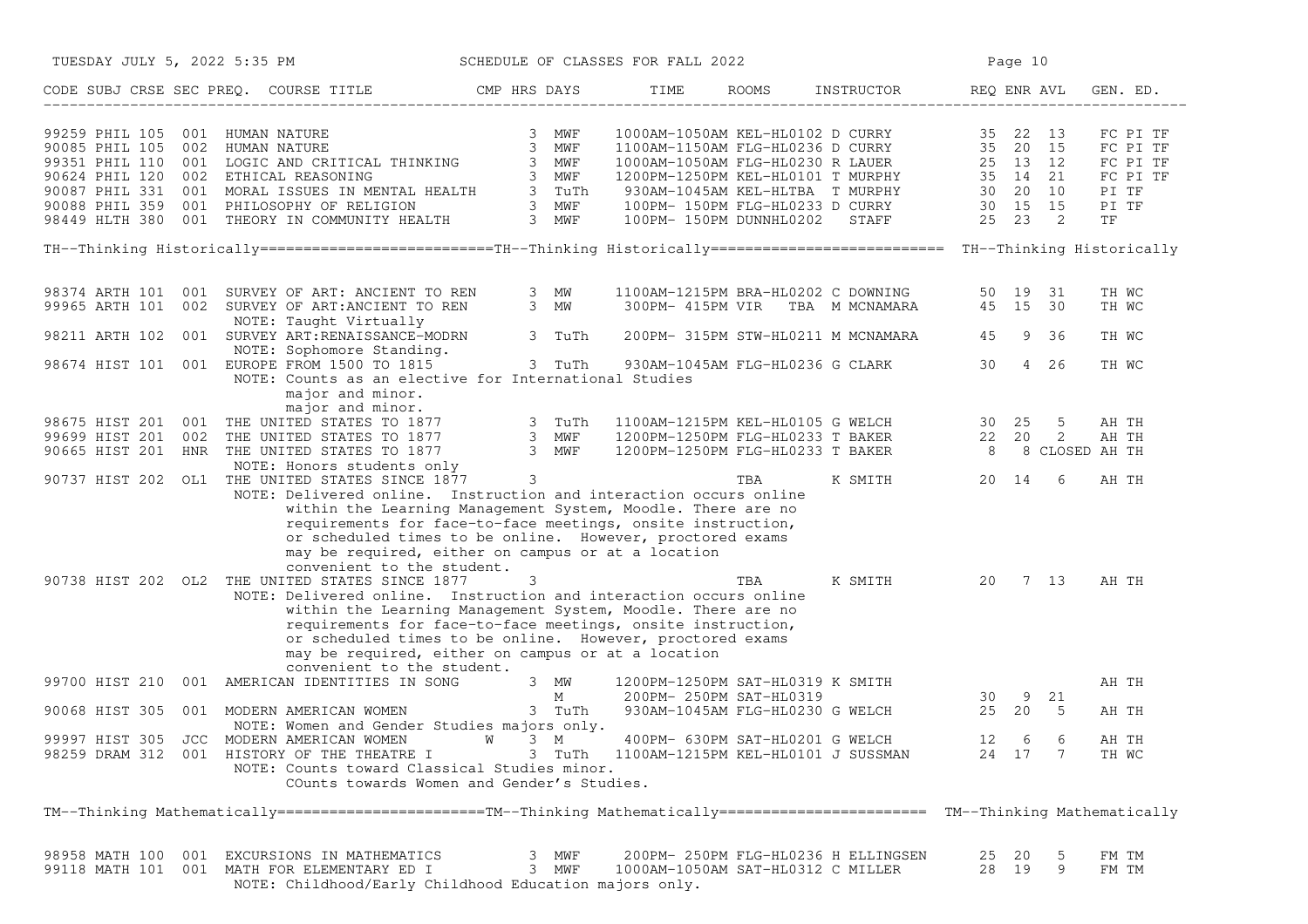|                | TUESDAY JULY 5, 2022 5:35 PM                                                                                                                                                                                                                                                                                                                                                                 | SCHEDULE OF CLASSES FOR FALL 2022 | Page 10                                                                                 |            |                                            |                   |        |                                                                      |
|----------------|----------------------------------------------------------------------------------------------------------------------------------------------------------------------------------------------------------------------------------------------------------------------------------------------------------------------------------------------------------------------------------------------|-----------------------------------|-----------------------------------------------------------------------------------------|------------|--------------------------------------------|-------------------|--------|----------------------------------------------------------------------|
|                | CODE SUBJ CRSE SEC PREQ. COURSE TITLE THE ROOMS INSTRUCTOR THE ROOMS ENSTRUCTOR                                                                                                                                                                                                                                                                                                              |                                   |                                                                                         |            |                                            |                   |        | GEN. ED.                                                             |
|                | 99259 PHIL 105 001 HUMAN NATURE 3 MWF 1<br>90085 PHIL 105 002 HUMAN NATURE 3 MWF 1<br>99351 PHIL 110 001 LOGIC AND CRITICAL THINKING 3 MWF 1<br>90624 PHIL 120 002 ETHICAL REASONING 3 MWF 1<br>90087 PHIL 331 001 MORAL ISSUES IN MENTAL                                                                                                                                                    |                                   |                                                                                         |            |                                            |                   |        | FC PI TF<br>FC PI TF<br>FC PI TF<br>FC PI TF<br>PI TF<br>PI TF<br>TF |
|                | TH--Thinking Historically=========================TH--Thinking Historically========================= TH--Thinking Historically                                                                                                                                                                                                                                                               |                                   |                                                                                         |            |                                            |                   |        |                                                                      |
|                | 98374 ARTH 101 001 SURVEY OF ART: ANCIENT TO REN 3 MW 99965 ARTH 101 002 SURVEY OF ART: ANCIENT TO REN 3 MW<br>NOTE: Taught Virtually<br>98211 ARTH 102 001 SURVEY ART:RENAISSANCE-MODRN 3 TuTh                                                                                                                                                                                              |                                   | 1100AM-1215PM BRA-HL0202 C DOWNING 50 19 31<br>300PM- 415PM VIR TBA M MCNAMARA 45 15 30 |            | 200PM- 315PM STW-HL0211 M MCNAMARA 45 9 36 |                   |        | TH WC<br>TH WC                                                       |
|                | NOTE: Sophomore Standing.<br>98674 HIST 101 001 EUROPE FROM 1500 TO 1815 3 TuTh 930AM-1045AM FLG-HL0236 G CLARK 30 4 26                                                                                                                                                                                                                                                                      |                                   |                                                                                         |            |                                            |                   |        | TH WC<br>TH WC                                                       |
|                | NOTE: Counts as an elective for International Studies<br>major and minor.<br>major and minor.                                                                                                                                                                                                                                                                                                |                                   |                                                                                         |            |                                            |                   |        |                                                                      |
|                |                                                                                                                                                                                                                                                                                                                                                                                              |                                   |                                                                                         |            |                                            |                   |        |                                                                      |
|                |                                                                                                                                                                                                                                                                                                                                                                                              |                                   |                                                                                         |            |                                            |                   |        |                                                                      |
|                | 98675 HIST 201 001 THE UNITED STATES TO 1877 3 TuTh 1100AM-1215PM KEL-HL0105 G WELCH 30 25 5 AH TH<br>99699 HIST 201 002 THE UNITED STATES TO 1877 3 MWF 1200PM-1250PM FLG-HL0233 T BAKER 22 20 2 AH TH<br>90665 HIST 201 HNR THE UN<br>NOTE: Honors students only<br>90737 HIST 202 OL1 THE UNITED STATES SINCE 1877 3<br>NOTE: Delivered online. Instruction and interaction occurs online |                                   |                                                                                         | <b>TBA</b> | K SMITH 20 14                              |                   | 6      | AH TH                                                                |
|                | within the Learning Management System, Moodle. There are no<br>requirements for face-to-face meetings, onsite instruction,<br>or scheduled times to be online. However, proctored exams<br>may be required, either on campus or at a location<br>convenient to the student.                                                                                                                  |                                   |                                                                                         |            |                                            |                   |        |                                                                      |
|                | 90738 HIST 202 OL2 THE UNITED STATES SINCE 1877<br>NOTE: Delivered online. Instruction and interaction occurs online                                                                                                                                                                                                                                                                         | 3                                 |                                                                                         | TBA        | K SMITH 20 7 13                            |                   |        | AH TH                                                                |
|                | within the Learning Management System, Moodle. There are no<br>requirements for face-to-face meetings, onsite instruction,<br>or scheduled times to be online. However, proctored exams<br>may be required, either on campus or at a location<br>convenient to the student.                                                                                                                  |                                   |                                                                                         |            |                                            |                   |        |                                                                      |
|                | 99700 HIST 210 001 AMERICAN IDENTITIES IN SONG 3 MW 1200PM-1250PM SAT-HL0319<br>M 200PM-250PM SAT-HL0319                                                                                                                                                                                                                                                                                     |                                   | 1200PM-1250PM SAT-HL0319 K SMITH<br>200PM- 250PM SAT-HL0319 30                          |            |                                            |                   |        | AH TH                                                                |
|                | 90068 HIST 305 001 MODERN AMERICAN WOMEN 3 TuTh<br>NOTE: Women and Gender Studies majors only.                                                                                                                                                                                                                                                                                               |                                   |                                                                                         |            | 930AM-1045AM FLG-HL0230 G WELCH 25 20 5    |                   | 9 21   | AH TH                                                                |
|                | 99997 HIST 305 JCC MODERN AMERICAN WOMEN W 3 M<br>98259 DRAM 312 001 HISTORY OF THE THEATRE I<br>NOTE: Counts toward Classical Studies minor.<br>COunts towards Women and Gender's Studies.                                                                                                                                                                                                  |                                   | 400PM- 630PM SAT-HL0201 G WELCH<br>3 TuTh 1100AM-1215PM KEL-HL0101 J SUSSMAN            |            |                                            | 12<br>24 17 7     | 6<br>6 | AH TH<br>TH WC                                                       |
|                | TM--Thinking Mathematically======================TM--Thinking Mathematically======================== TM--Thinking Mathematically                                                                                                                                                                                                                                                             |                                   |                                                                                         |            |                                            |                   |        |                                                                      |
| 98958 MATH 100 | 001 EXCURSIONS IN MATHEMATICS<br>99118 MATH 101 001 MATH FOR ELEMENTARY ED I<br>NOTE: Childhood/Early Childhood Education majors only.                                                                                                                                                                                                                                                       | 3 MWF<br>3 MWF                    | 1000AM-1050AM SAT-HL0312 C MILLER                                                       |            | 200PM- 250PM FLG-HL0236 H ELLINGSEN        | 25 20<br>28<br>19 | 5<br>9 | FM TM<br>FM TM                                                       |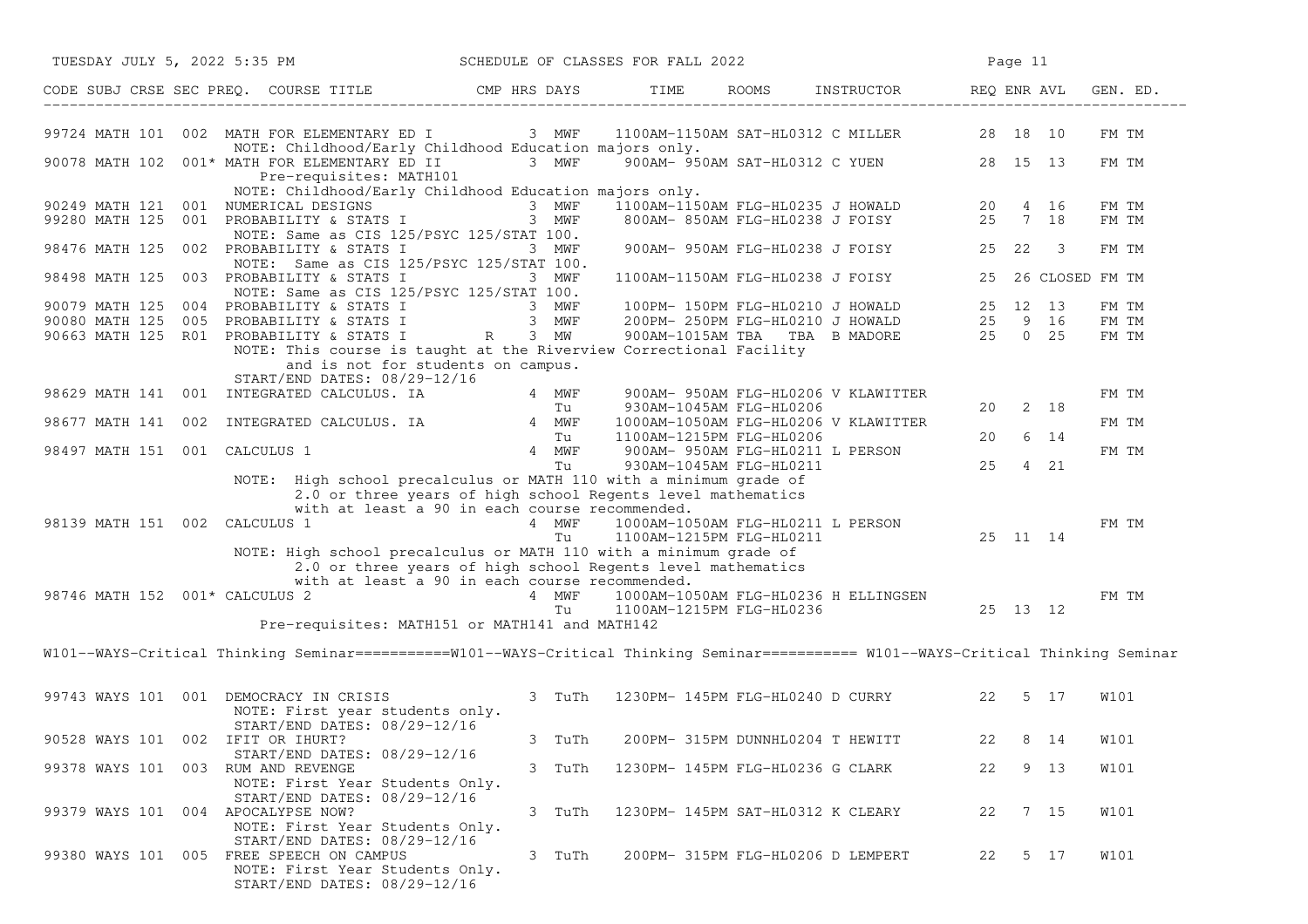| SCHEDULE OF CLASSES FOR FALL 2022<br>TUESDAY JULY 5, 2022 5:35 PM |  |  |                                                                                                                                                                                                                                                         |  |             |                                                                                 | Page 11                           |                                                                        |    |         |                    |             |  |
|-------------------------------------------------------------------|--|--|---------------------------------------------------------------------------------------------------------------------------------------------------------------------------------------------------------------------------------------------------------|--|-------------|---------------------------------------------------------------------------------|-----------------------------------|------------------------------------------------------------------------|----|---------|--------------------|-------------|--|
|                                                                   |  |  | CODE SUBJ CRSE SEC PREQ. COURSE TITLE CMP HRS DAYS TIME ROOMS INSTRUCTOR REQ ENR AVL GEN. ED.                                                                                                                                                           |  |             |                                                                                 |                                   |                                                                        |    |         |                    |             |  |
|                                                                   |  |  | 99724 MATH 101 002 MATH FOR ELEMENTARY ED I 3 MWF 1100AM-1150AM SAT-HL0312 C MILLER 28 18 10<br>NOTE: Childhood/Early Childhood Education majors only.                                                                                                  |  |             |                                                                                 |                                   |                                                                        |    |         |                    | FM TM       |  |
|                                                                   |  |  | 90078 MATH 102 001* MATH FOR ELEMENTARY ED II 3 MWF<br>Pre-requisites: MATH101<br>NOTE: Childhood/Early Childhood Education majors only.                                                                                                                |  |             |                                                                                 |                                   | 900AM-950AM SAT-HL0312 C YUEN 28 15 13                                 |    |         |                    | FM TM       |  |
|                                                                   |  |  |                                                                                                                                                                                                                                                         |  |             |                                                                                 |                                   |                                                                        |    |         |                    | FM TM       |  |
|                                                                   |  |  | 90249 MATH 121 001 NUMERICAL DESIGNS 3 MWF 1100AM-1150AM FLG-HL0235 J HOWALD 20 4 16<br>99280 MATH 125 001 PROBABILITY & STATS I 3 MWF 800AM-850AM FLG-HL0238 J FOISY 25 7 18                                                                           |  |             |                                                                                 |                                   |                                                                        |    |         |                    | FM TM       |  |
|                                                                   |  |  | NOTE: Same as CIS 125/PSYC 125/STAT 100.                                                                                                                                                                                                                |  |             |                                                                                 |                                   |                                                                        |    |         |                    |             |  |
|                                                                   |  |  | 98476 MATH 125 002 PROBABILITY & STATS I<br>NOTE: Same as CIS 125/PSYC 125/STAT 100.                                                                                                                                                                    |  | 3 MWF       |                                                                                 |                                   | 900AM- 950AM FLG-HL0238 J FOISY 25 22 3                                |    |         |                    | FM TM       |  |
|                                                                   |  |  | 98498 MATH 125 003 PROBABILITY & STATS I                                                                                                                                                                                                                |  | 3 MWF       |                                                                                 |                                   | 1100AM-1150AM FLG-HL0238 J FOISY                                       |    |         | 25 26 CLOSED FM TM |             |  |
|                                                                   |  |  | NOTE: Same as CIS 125/PSYC 125/STAT 100.                                                                                                                                                                                                                |  |             |                                                                                 |                                   |                                                                        |    |         |                    |             |  |
|                                                                   |  |  |                                                                                                                                                                                                                                                         |  |             |                                                                                 |                                   |                                                                        |    |         |                    | FM TM       |  |
|                                                                   |  |  |                                                                                                                                                                                                                                                         |  |             |                                                                                 |                                   |                                                                        |    |         |                    | FM TM       |  |
|                                                                   |  |  | 90079 MATH 125 004 PROBABILITY & STATS I 3 MWF 100PM-150PM FLG-HL0210 J HOWALD 25 12 13<br>90080 MATH 125 005 PROBABILITY & STATS I 3 MWF 200PM-250PM FLG-HL0210 J HOWALD 25 9 16<br>90663 MATH 125 R01 PROBABILITY & STATS I R 3 MW                    |  |             |                                                                                 |                                   |                                                                        |    |         |                    | FM TM       |  |
|                                                                   |  |  | NOTE: This course is taught at the Riverview Correctional Facility<br>and is not for students on campus.<br>START/END DATES: 08/29-12/16                                                                                                                |  |             |                                                                                 |                                   |                                                                        |    |         |                    |             |  |
|                                                                   |  |  |                                                                                                                                                                                                                                                         |  |             |                                                                                 |                                   |                                                                        |    |         |                    | FM TM       |  |
|                                                                   |  |  | 98629 MATH 141 001 INTEGRATED CALCULUS. IA<br>98677 MATH 141 002 INTEGRATED CALCULUS. IA<br>98677 MATH 141 002 INTEGRATED CALCULUS. IA 4 MWF 1000AM-1050AM FLG-HL0206 V KLAWITTER                                                                       |  |             |                                                                                 |                                   |                                                                        | 20 |         | 2 18               |             |  |
|                                                                   |  |  |                                                                                                                                                                                                                                                         |  |             |                                                                                 |                                   |                                                                        |    |         |                    | FM TM       |  |
|                                                                   |  |  |                                                                                                                                                                                                                                                         |  |             |                                                                                 |                                   |                                                                        | 20 |         | 6 14               |             |  |
| 98497 MATH 151 001 CALCULUS 1                                     |  |  |                                                                                                                                                                                                                                                         |  |             |                                                                                 |                                   | 900AM- 950AM FLG-HL0211 L PERSON                                       |    |         |                    | FM TM       |  |
|                                                                   |  |  |                                                                                                                                                                                                                                                         |  |             | 100AM FLG-HL0206<br>Tu 1100AM-1215PM FLG-HL0206<br>4 MWF 900AM-950AM FLG-HL0211 |                                   |                                                                        |    | 25 4 21 |                    |             |  |
| 98139 MATH 151 002 CALCULUS 1                                     |  |  | NOTE: High school precalculus or MATH 110 with a minimum grade of<br>2.0 or three years of high school Regents level mathematics<br>with at least a 90 in each course recommended.<br>NOTE: High school precalculus or MATH 110 with a minimum grade of |  | 4 MWF<br>Tu |                                                                                 |                                   | 1000AM-1050AM FLG-HL0211 L PERSON<br>1100AM-1215PM FLG-HL0211 25 11 14 |    |         |                    | FM TM       |  |
| 98746 MATH 152 001* CALCULUS 2                                    |  |  | 2.0 or three years of high school Regents level mathematics<br>with at least a 90 in each course recommended.<br>Pre-requisites: MATH151 or MATH141 and MATH142                                                                                         |  | 4 MWF<br>Tu | 1100AM-1215PM FLG-HL0236                                                        |                                   |                                                                        |    |         |                    | FM TM       |  |
|                                                                   |  |  | W101--WAYS-Critical Thinking Seminar===========W101--WAYS-Critical Thinking Seminar========== W101--WAYS-Critical Thinking Seminar                                                                                                                      |  |             |                                                                                 |                                   |                                                                        |    |         |                    |             |  |
|                                                                   |  |  |                                                                                                                                                                                                                                                         |  |             |                                                                                 |                                   |                                                                        |    |         |                    |             |  |
| 99743 WAYS 101 001 DEMOCRACY IN CRISIS                            |  |  | NOTE: First year students only.<br>START/END DATES: 08/29-12/16                                                                                                                                                                                         |  |             |                                                                                 |                                   | 3 TuTh 1230PM-145PM FLG-HL0240 D CURRY 22 5 17                         |    |         |                    | W101        |  |
| 90528 WAYS 101 002 IFIT OR IHURT?                                 |  |  | START/END DATES: 08/29-12/16                                                                                                                                                                                                                            |  | 3 TuTh      |                                                                                 |                                   | 200PM- 315PM DUNNHL0204 T HEWITT                                       |    | 22 8 14 |                    | <b>W101</b> |  |
| 99378 WAYS 101 003 RUM AND REVENGE                                |  |  |                                                                                                                                                                                                                                                         |  | 3 TuTh      |                                                                                 | 1230PM- 145PM FLG-HL0236 G CLARK  |                                                                        | 22 |         | 9 13               | <b>W101</b> |  |
|                                                                   |  |  | NOTE: First Year Students Only.                                                                                                                                                                                                                         |  |             |                                                                                 |                                   |                                                                        |    |         |                    |             |  |
| 99379 WAYS 101 004 APOCALYPSE NOW?                                |  |  | START/END DATES: 08/29-12/16<br>NOTE: First Year Students Only.                                                                                                                                                                                         |  | 3 TuTh      |                                                                                 | 1230PM- 145PM SAT-HL0312 K CLEARY |                                                                        | 22 |         | 7 15               | W101        |  |
|                                                                   |  |  | START/END DATES: 08/29-12/16<br>99380 WAYS 101 005 FREE SPEECH ON CAMPUS<br>NOTE: First Year Students Only.<br>START/END DATES: 08/29-12/16                                                                                                             |  | 3 TuTh      |                                                                                 |                                   | 200PM- 315PM FLG-HL0206 D LEMPERT                                      | 22 |         | 5 17               | W101        |  |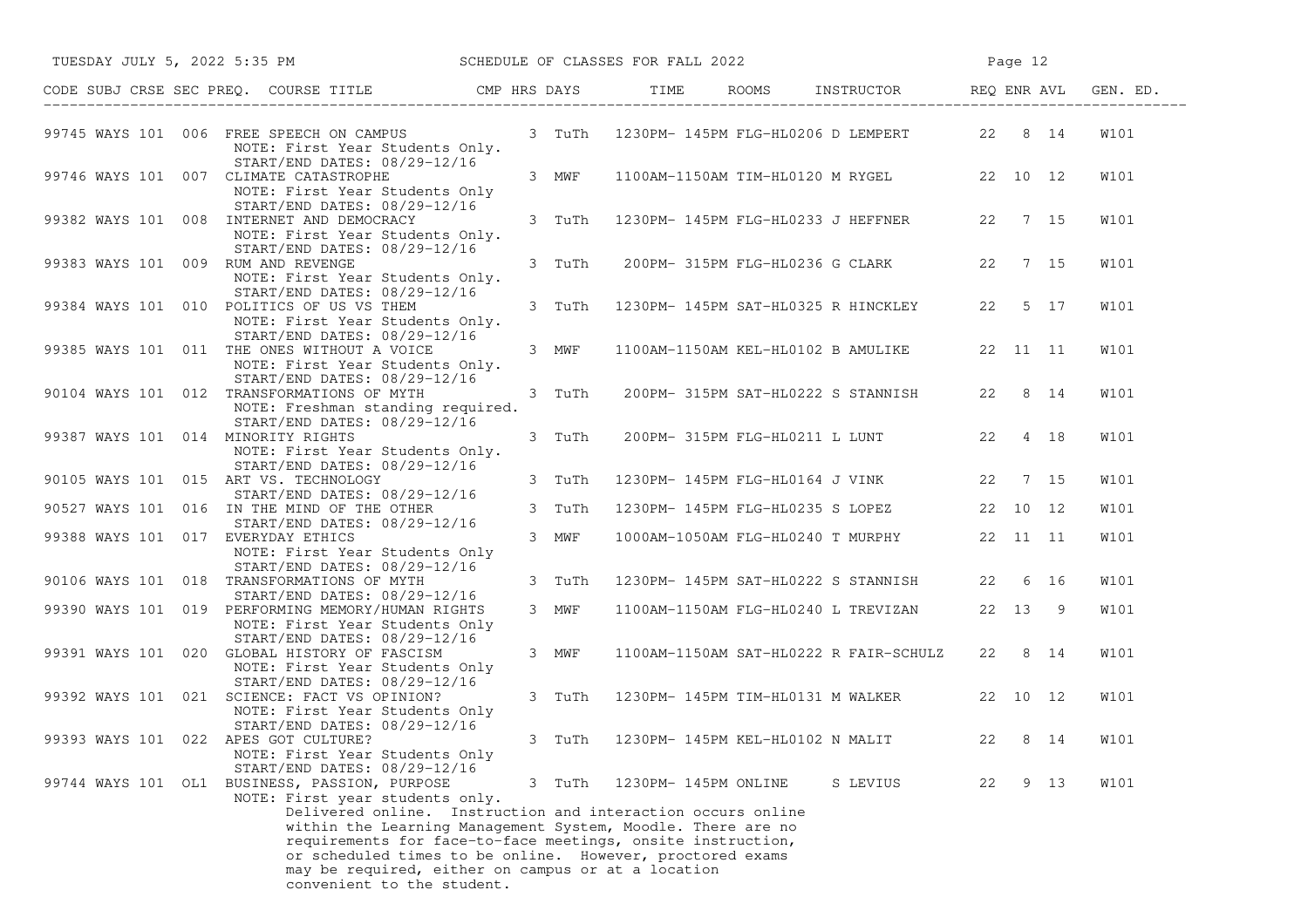|                                    | TUESDAY JULY 5, 2022 5:35 PM SCHEDULE OF CLASSES FOR FALL 2022                                                                                                                                                                                                              |        |                      |                                                |    |      |             |
|------------------------------------|-----------------------------------------------------------------------------------------------------------------------------------------------------------------------------------------------------------------------------------------------------------------------------|--------|----------------------|------------------------------------------------|----|------|-------------|
|                                    | CODE SUBJ CRSE SEC PREQ. COURSE TITLE THE CMP HRS DAYS TIME ROOMS INSTRUCTOR REQ ENR AVL GEN. ED.                                                                                                                                                                           |        |                      |                                                |    |      |             |
|                                    | 99745 WAYS 101 006 FREE SPEECH ON CAMPUS 3 TuTh 1230PM-145PM FLG-HL0206 D LEMPERT 22 8 14<br>NOTE: First Year Students Only.                                                                                                                                                |        |                      |                                                |    |      | W101        |
|                                    | START/END DATES: 08/29-12/16<br>99746 WAYS 101 007 CLIMATE CATASTROPHE<br>NOTE: First Year Students Only                                                                                                                                                                    | 3 MWF  |                      | 1100AM-1150AM TIM-HL0120 M RYGEL 22 10 12      |    |      | W101        |
|                                    | START/END DATES: 08/29-12/16<br>99382 WAYS 101 008 INTERNET AND DEMOCRACY<br>NOTE: First Year Students Only.                                                                                                                                                                | 3 TuTh |                      | 1230PM- 145PM FLG-HL0233 J HEFFNER 22 7 15     |    |      | W101        |
| 99383 WAYS 101 009 RUM AND REVENGE | START/END DATES: 08/29-12/16<br>NOTE: First Year Students Only.                                                                                                                                                                                                             |        |                      | 3 TuTh 200PM-315PM FLG-HL0236 G CLARK 22 7 15  |    |      | W101        |
|                                    | START/END DATES: 08/29-12/16<br>99384 WAYS 101 010 POLITICS OF US VS THEM<br>NOTE: First Year Students Only.                                                                                                                                                                | 3 TuTh |                      | 1230PM- 145PM SAT-HL0325 R HINCKLEY 22 5 17    |    |      | <b>W101</b> |
|                                    | START/END DATES: 08/29-12/16<br>99385 WAYS 101 011 THE ONES WITHOUT A VOICE<br>NOTE: First Year Students Only.                                                                                                                                                              | 3 MWF  |                      | 1100AM-1150AM KEL-HL0102 B AMULIKE 22 11 11    |    |      | W101        |
|                                    | START/END DATES: 08/29-12/16<br>90104 WAYS 101 012 TRANSFORMATIONS OF MYTH<br>NOTE: Freshman standing required.                                                                                                                                                             | 3 TuTh |                      | 200PM- 315PM SAT-HL0222 S STANNISH 22 8 14     |    |      | W101        |
| 99387 WAYS 101 014 MINORITY RIGHTS | START/END DATES: 08/29-12/16<br>NOTE: First Year Students Only.                                                                                                                                                                                                             | 3 TuTh |                      | 200PM- 315PM FLG-HL0211 L LUNT 22 4 18         |    |      | <b>W101</b> |
|                                    | START/END DATES: 08/29-12/16<br>90105 WAYS 101 015 ART VS. TECHNOLOGY                                                                                                                                                                                                       | 3 TuTh |                      | 1230PM- 145PM FLG-HL0164 J VINK 22 7 15        |    |      | W101        |
|                                    | START/END DATES: 08/29-12/16<br>90527 WAYS 101 016 IN THE MIND OF THE OTHER                                                                                                                                                                                                 | 3 TuTh |                      | 1230PM- 145PM FLG-HL0235 S LOPEZ 22 10 12      |    |      | W101        |
| 99388 WAYS 101 017 EVERYDAY ETHICS | START/END DATES: 08/29-12/16<br>NOTE: First Year Students Only                                                                                                                                                                                                              | 3 MWF  |                      | 1000AM-1050AM FLG-HL0240 T MURPHY 22 11 11     |    |      | W101        |
|                                    | START/END DATES: 08/29-12/16<br>90106 WAYS 101 018 TRANSFORMATIONS OF MYTH                                                                                                                                                                                                  | 3 TuTh |                      | 1230PM- 145PM SAT-HL0222 S STANNISH 22 6 16    |    |      | W101        |
|                                    | START/END DATES: 08/29-12/16<br>99390 WAYS 101 019 PERFORMING MEMORY/HUMAN RIGHTS<br>NOTE: First Year Students Only                                                                                                                                                         | 3 MWF  |                      | 1100AM-1150AM FLG-HL0240 L TREVIZAN 22 13 9    |    |      | W101        |
|                                    | START/END DATES: 08/29-12/16<br>99391 WAYS 101 020 GLOBAL HISTORY OF FASCISM<br>NOTE: First Year Students Only                                                                                                                                                              | 3 MWF  |                      | 1100AM-1150AM SAT-HL0222 R FAIR-SCHULZ 22 8 14 |    |      | W101        |
|                                    | START/END DATES: 08/29-12/16<br>99392 WAYS 101 021 SCIENCE: FACT VS OPINION?<br>NOTE: First Year Students Only<br>START/END DATES: 08/29-12/16                                                                                                                              | 3 TuTh |                      | 1230PM- 145PM TIM-HL0131 M WALKER 22 10 12     |    |      | W101        |
|                                    | 99393 WAYS 101 022 APES GOT CULTURE?<br>NOTE: First Year Students Only                                                                                                                                                                                                      |        |                      | 3 TuTh 1230PM-145PM KEL-HL0102 N MALIT 22 8 14 |    |      | <b>W101</b> |
|                                    | START/END DATES: 08/29-12/16<br>99744 WAYS 101 OL1 BUSINESS, PASSION, PURPOSE<br>NOTE: First year students only.<br>Delivered online. Instruction and interaction occurs online                                                                                             | 3 TuTh | 1230PM- 145PM ONLINE | S LEVIUS                                       | 22 | 9 13 | W101        |
|                                    | within the Learning Management System, Moodle. There are no<br>requirements for face-to-face meetings, onsite instruction,<br>or scheduled times to be online. However, proctored exams<br>may be required, either on campus or at a location<br>convenient to the student. |        |                      |                                                |    |      |             |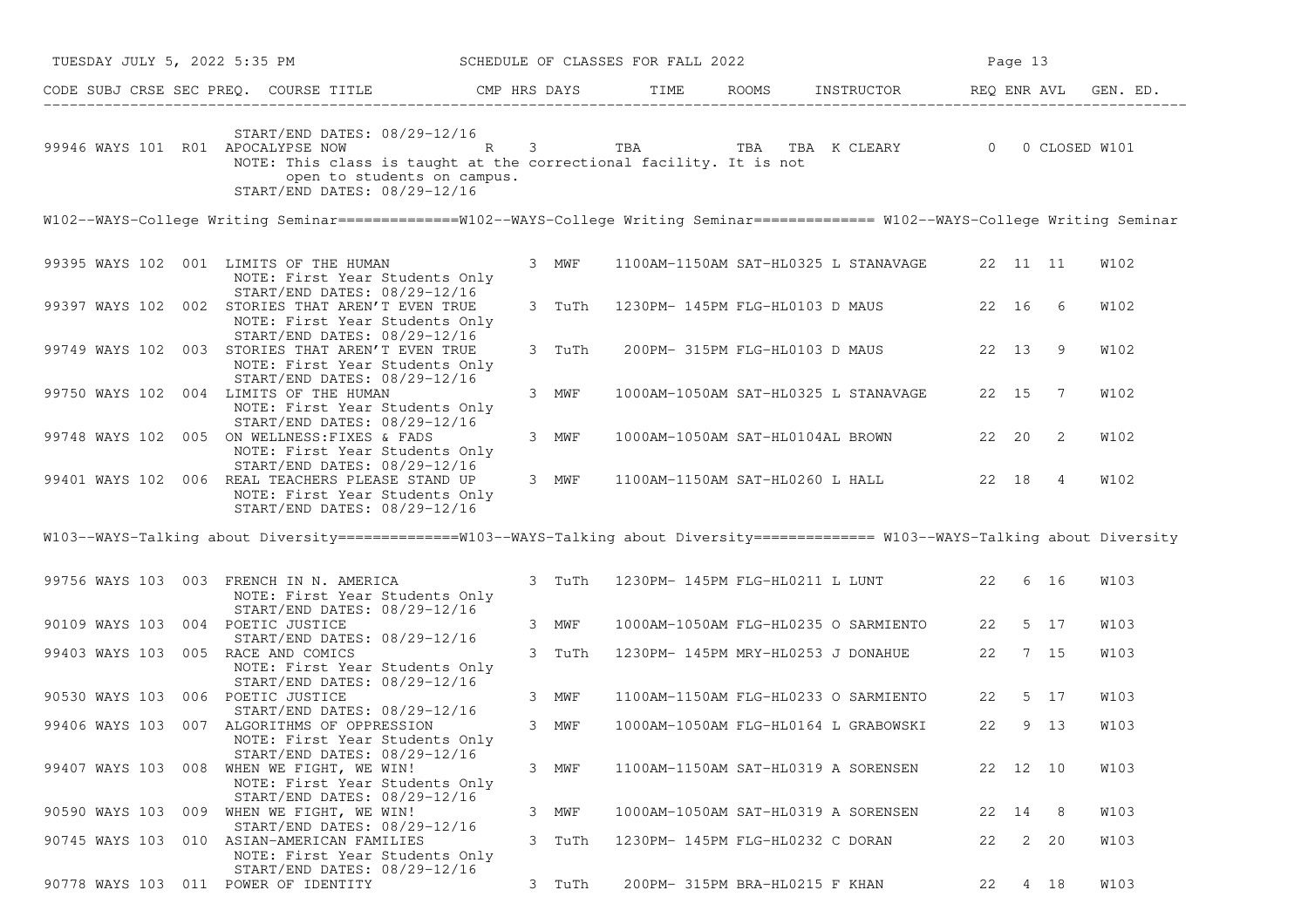| TUESDAY JULY 5, 2022 5:35 PM SCHEDULE OF CLASSES FOR FALL 2022                                                                                                                                                                                  |        |  |                                  |                                               | Page 13 |                    |      |  |  |  |  |
|-------------------------------------------------------------------------------------------------------------------------------------------------------------------------------------------------------------------------------------------------|--------|--|----------------------------------|-----------------------------------------------|---------|--------------------|------|--|--|--|--|
| CODE SUBJ CRSE SEC PREQ. COURSE TITLE CMP HRS DAYS TIME ROOMS INSTRUCTOR REQ ENR AVL GEN. ED.                                                                                                                                                   |        |  |                                  |                                               |         |                    |      |  |  |  |  |
| START/END DATES: 08/29-12/16<br>99946 WAYS 101 R01 APOCALYPSE NOW R 3 TBA TBA TBA K CLEARY 0 0 CLOSED W101<br>NOTE: This class is taught at the correctional facility. It is not<br>open to students on campus.<br>START/END DATES: 08/29-12/16 |        |  |                                  |                                               |         |                    |      |  |  |  |  |
| W102--WAYS-College Writing Seminar ==============W102--WAYS-College Writing Seminar ============= W102--WAYS-College Writing Seminar                                                                                                            |        |  |                                  |                                               |         |                    |      |  |  |  |  |
| 99395 WAYS 102 001 LIMITS OF THE HUMAN<br>NOTE: First Year Students Only                                                                                                                                                                        | 3 MWF  |  |                                  | 1100AM-1150AM SAT-HL0325 L STANAVAGE 22 11 11 |         |                    | W102 |  |  |  |  |
| START/END DATES: 08/29-12/16<br>99397 WAYS 102 002 STORIES THAT AREN'T EVEN TRUE<br>NOTE: First Year Students Only                                                                                                                              | 3 TuTh |  |                                  | 1230PM- 145PM FLG-HL0103 D MAUS 22 16 6       |         |                    | W102 |  |  |  |  |
| START/END DATES: 08/29-12/16<br>99749 WAYS 102 003 STORIES THAT AREN'T EVEN TRUE<br>NOTE: First Year Students Only<br>START/END DATES: 08/29-12/16                                                                                              | 3 TuTh |  |                                  | 200PM- 315PM FLG-HL0103 D MAUS                |         | 22 13 9            | W102 |  |  |  |  |
| 99750 WAYS 102 004 LIMITS OF THE HUMAN<br>NOTE: First Year Students Only<br>START/END DATES: 08/29-12/16                                                                                                                                        | 3 MWF  |  |                                  | 1000AM-1050AM SAT-HL0325 L STANAVAGE 22 15 7  |         |                    | W102 |  |  |  |  |
| 99748 WAYS 102 005 ON WELLNESS: FIXES & FADS<br>NOTE: First Year Students Only<br>START/END DATES: 08/29-12/16                                                                                                                                  | 3 MWF  |  |                                  | 1000AM-1050AM SAT-HL0104AL BROWN 22 20        |         | 2                  | W102 |  |  |  |  |
| 99401 WAYS 102 006 REAL TEACHERS PLEASE STAND UP<br>NOTE: First Year Students Only<br>START/END DATES: 08/29-12/16                                                                                                                              | 3 MWF  |  |                                  | 1100AM-1150AM SAT-HL0260 L HALL 22 18 4       |         |                    | W102 |  |  |  |  |
| W103--WAYS-Talking about Diversity ==============W103--WAYS-Talking about Diversity ============== W103--WAYS-Talking about Diversity                                                                                                           |        |  |                                  |                                               |         |                    |      |  |  |  |  |
| 99756 WAYS 103 003 FRENCH IN N. AMERICA<br>NOTE: First Year Students Only<br>START/END DATES: 08/29-12/16                                                                                                                                       | 3 TuTh |  |                                  | 1230PM- 145PM FLG-HL0211 L LUNT 22 6 16       |         |                    | W103 |  |  |  |  |
| 90109 WAYS 103 004 POETIC JUSTICE                                                                                                                                                                                                               | 3 MWF  |  |                                  | 1000AM-1050AM FLG-HL0235 O SARMIENTO 22 5 17  |         |                    | W103 |  |  |  |  |
| START/END DATES: 08/29-12/16<br>99403 WAYS 103 005 RACE AND COMICS<br>NOTE: First Year Students Only                                                                                                                                            | 3 TuTh |  |                                  | 1230PM- 145PM MRY-HL0253 J DONAHUE            |         | 22 7 15            | W103 |  |  |  |  |
| START/END DATES: 08/29-12/16<br>90530 WAYS 103 006 POETIC JUSTICE                                                                                                                                                                               | 3 MWF  |  |                                  | 1100AM-1150AM FLG-HL0233 O SARMIENTO          |         | 22 5 17            | W103 |  |  |  |  |
| START/END DATES: 08/29-12/16<br>99406 WAYS 103 007 ALGORITHMS OF OPPRESSION<br>NOTE: First Year Students Only<br>START/END DATES: 08/29-12/16                                                                                                   | 3 MWF  |  |                                  | 1000AM-1050AM FLG-HL0164 L GRABOWSKI          |         | 22 9 13            | W103 |  |  |  |  |
| 99407 WAYS 103 008 WHEN WE FIGHT, WE WIN!<br>NOTE: First Year Students Only<br>START/END DATES: 08/29-12/16                                                                                                                                     | 3 MWF  |  |                                  | 1100AM-1150AM SAT-HL0319 A SORENSEN           |         | 22 12 10           | W103 |  |  |  |  |
| 90590 WAYS 103 009 WHEN WE FIGHT, WE WIN!<br>START/END DATES: 08/29-12/16                                                                                                                                                                       | 3 MWF  |  |                                  | 1000AM-1050AM SAT-HL0319 A SORENSEN           | 22 14   | -8                 | W103 |  |  |  |  |
| 90745 WAYS 103 010 ASIAN-AMERICAN FAMILIES<br>NOTE: First Year Students Only<br>START/END DATES: 08/29-12/16                                                                                                                                    | 3 TuTh |  | 1230PM- 145PM FLG-HL0232 C DORAN |                                               | 22      | $\mathbf{2}$<br>20 | W103 |  |  |  |  |
| 90778 WAYS 103 011 POWER OF IDENTITY                                                                                                                                                                                                            | 3 TuTh |  | 200PM- 315PM BRA-HL0215 F KHAN   |                                               | 22      | 4 18               | W103 |  |  |  |  |